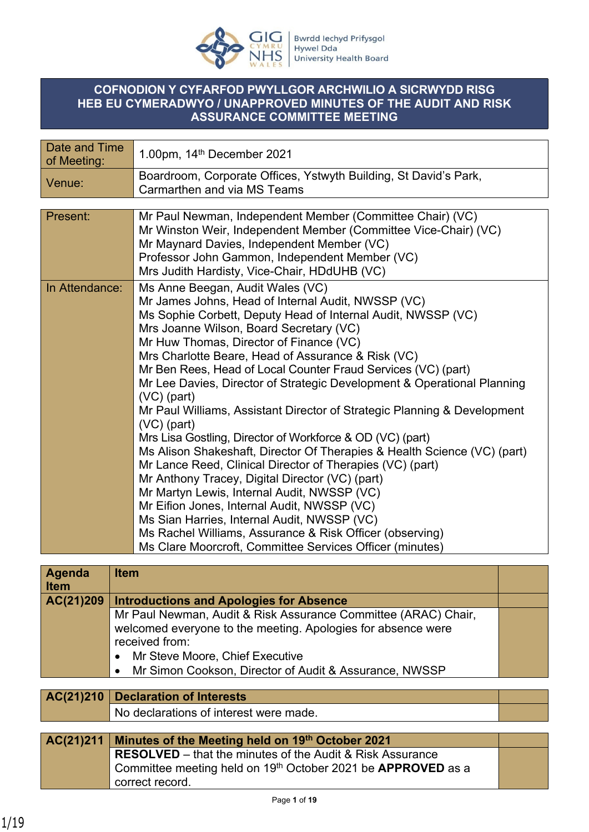

## **COFNODION Y CYFARFOD PWYLLGOR ARCHWILIO A SICRWYDD RISG HEB EU CYMERADWYO / UNAPPROVED MINUTES OF THE AUDIT AND RISK ASSURANCE COMMITTEE MEETING**

| Date and Time<br>of Meeting: | 1.00pm, 14 <sup>th</sup> December 2021                                                          |
|------------------------------|-------------------------------------------------------------------------------------------------|
| Venue:                       | Boardroom, Corporate Offices, Ystwyth Building, St David's Park,<br>Carmarthen and via MS Teams |
|                              |                                                                                                 |
| Present:                     | Mr Paul Newman, Independent Member (Committee Chair) (VC)                                       |
|                              | Mr Winston Weir, Independent Member (Committee Vice-Chair) (VC)                                 |
|                              | Mr Maynard Davies, Independent Member (VC)                                                      |
|                              | Professor John Gammon, Independent Member (VC)                                                  |
|                              | Mrs Judith Hardisty, Vice-Chair, HDdUHB (VC)                                                    |
| In Attendance:               | Ms Anne Beegan, Audit Wales (VC)                                                                |
|                              | Mr James Johns, Head of Internal Audit, NWSSP (VC)                                              |
|                              | Ms Sophie Corbett, Deputy Head of Internal Audit, NWSSP (VC)                                    |
|                              | Mrs Joanne Wilson, Board Secretary (VC)                                                         |
|                              | Mr Huw Thomas, Director of Finance (VC)                                                         |
|                              | Mrs Charlotte Beare, Head of Assurance & Risk (VC)                                              |
|                              | Mr Ben Rees, Head of Local Counter Fraud Services (VC) (part)                                   |
|                              | Mr Lee Davies, Director of Strategic Development & Operational Planning<br>$(VC)$ (part)        |
|                              | Mr Paul Williams, Assistant Director of Strategic Planning & Development                        |
|                              | $(VC)$ (part)                                                                                   |
|                              | Mrs Lisa Gostling, Director of Workforce & OD (VC) (part)                                       |
|                              | Ms Alison Shakeshaft, Director Of Therapies & Health Science (VC) (part)                        |
|                              | Mr Lance Reed, Clinical Director of Therapies (VC) (part)                                       |
|                              | Mr Anthony Tracey, Digital Director (VC) (part)                                                 |
|                              | Mr Martyn Lewis, Internal Audit, NWSSP (VC)                                                     |
|                              | Mr Eifion Jones, Internal Audit, NWSSP (VC)                                                     |
|                              | Ms Sian Harries, Internal Audit, NWSSP (VC)                                                     |
|                              | Ms Rachel Williams, Assurance & Risk Officer (observing)                                        |
|                              | Ms Clare Moorcroft, Committee Services Officer (minutes)                                        |

| Agenda<br><b>Item</b> | <b>Item</b>                                                                                                                                                                                                                                                |  |
|-----------------------|------------------------------------------------------------------------------------------------------------------------------------------------------------------------------------------------------------------------------------------------------------|--|
| AC(21)209             | <b>Introductions and Apologies for Absence</b>                                                                                                                                                                                                             |  |
|                       | Mr Paul Newman, Audit & Risk Assurance Committee (ARAC) Chair,<br>welcomed everyone to the meeting. Apologies for absence were<br>received from:<br>Mr Steve Moore, Chief Executive<br>Mr Simon Cookson, Director of Audit & Assurance, NWSSP<br>$\bullet$ |  |
|                       |                                                                                                                                                                                                                                                            |  |
| AC(21)210             | <b>Declaration of Interests</b>                                                                                                                                                                                                                            |  |
|                       | No declarations of interest were made.                                                                                                                                                                                                                     |  |

| AC(21)211 Minutes of the Meeting held on 19th October 2021                      |  |
|---------------------------------------------------------------------------------|--|
| <b>RESOLVED</b> – that the minutes of the Audit & Risk Assurance                |  |
| Committee meeting held on 19 <sup>th</sup> October 2021 be <b>APPROVED</b> as a |  |
| correct record.                                                                 |  |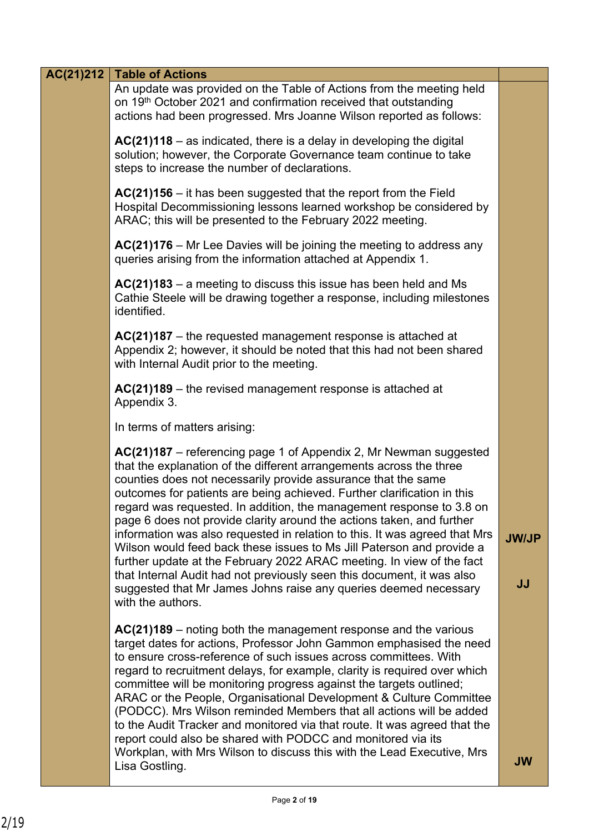| AC(21)212 | <b>Table of Actions</b>                                                                                                                                                                                                                                                                                                                                                                                                                                                                                                                                                                                                                                                                                                                                                                                               |                    |
|-----------|-----------------------------------------------------------------------------------------------------------------------------------------------------------------------------------------------------------------------------------------------------------------------------------------------------------------------------------------------------------------------------------------------------------------------------------------------------------------------------------------------------------------------------------------------------------------------------------------------------------------------------------------------------------------------------------------------------------------------------------------------------------------------------------------------------------------------|--------------------|
|           | An update was provided on the Table of Actions from the meeting held<br>on 19 <sup>th</sup> October 2021 and confirmation received that outstanding<br>actions had been progressed. Mrs Joanne Wilson reported as follows:                                                                                                                                                                                                                                                                                                                                                                                                                                                                                                                                                                                            |                    |
|           | AC(21)118 - as indicated, there is a delay in developing the digital<br>solution; however, the Corporate Governance team continue to take<br>steps to increase the number of declarations.                                                                                                                                                                                                                                                                                                                                                                                                                                                                                                                                                                                                                            |                    |
|           | $AC(21)156 - it$ has been suggested that the report from the Field<br>Hospital Decommissioning lessons learned workshop be considered by<br>ARAC; this will be presented to the February 2022 meeting.                                                                                                                                                                                                                                                                                                                                                                                                                                                                                                                                                                                                                |                    |
|           | $AC(21)176$ – Mr Lee Davies will be joining the meeting to address any<br>queries arising from the information attached at Appendix 1.                                                                                                                                                                                                                                                                                                                                                                                                                                                                                                                                                                                                                                                                                |                    |
|           | $AC(21)183 - a$ meeting to discuss this issue has been held and Ms<br>Cathie Steele will be drawing together a response, including milestones<br>identified.                                                                                                                                                                                                                                                                                                                                                                                                                                                                                                                                                                                                                                                          |                    |
|           | $AC(21)187$ – the requested management response is attached at<br>Appendix 2; however, it should be noted that this had not been shared<br>with Internal Audit prior to the meeting.                                                                                                                                                                                                                                                                                                                                                                                                                                                                                                                                                                                                                                  |                    |
|           | $AC(21)189$ – the revised management response is attached at<br>Appendix 3.                                                                                                                                                                                                                                                                                                                                                                                                                                                                                                                                                                                                                                                                                                                                           |                    |
|           | In terms of matters arising:                                                                                                                                                                                                                                                                                                                                                                                                                                                                                                                                                                                                                                                                                                                                                                                          |                    |
|           | $AC(21)187$ – referencing page 1 of Appendix 2, Mr Newman suggested<br>that the explanation of the different arrangements across the three<br>counties does not necessarily provide assurance that the same<br>outcomes for patients are being achieved. Further clarification in this<br>regard was requested. In addition, the management response to 3.8 on<br>page 6 does not provide clarity around the actions taken, and further<br>information was also requested in relation to this. It was agreed that Mrs<br>Wilson would feed back these issues to Ms Jill Paterson and provide a<br>further update at the February 2022 ARAC meeting. In view of the fact<br>that Internal Audit had not previously seen this document, it was also<br>suggested that Mr James Johns raise any queries deemed necessary | <b>JW/JP</b><br>JJ |
|           | with the authors.<br>$AC(21)189$ – noting both the management response and the various<br>target dates for actions, Professor John Gammon emphasised the need<br>to ensure cross-reference of such issues across committees. With<br>regard to recruitment delays, for example, clarity is required over which<br>committee will be monitoring progress against the targets outlined;<br>ARAC or the People, Organisational Development & Culture Committee<br>(PODCC). Mrs Wilson reminded Members that all actions will be added<br>to the Audit Tracker and monitored via that route. It was agreed that the<br>report could also be shared with PODCC and monitored via its                                                                                                                                       |                    |
|           | Workplan, with Mrs Wilson to discuss this with the Lead Executive, Mrs<br>Lisa Gostling.                                                                                                                                                                                                                                                                                                                                                                                                                                                                                                                                                                                                                                                                                                                              | <b>JW</b>          |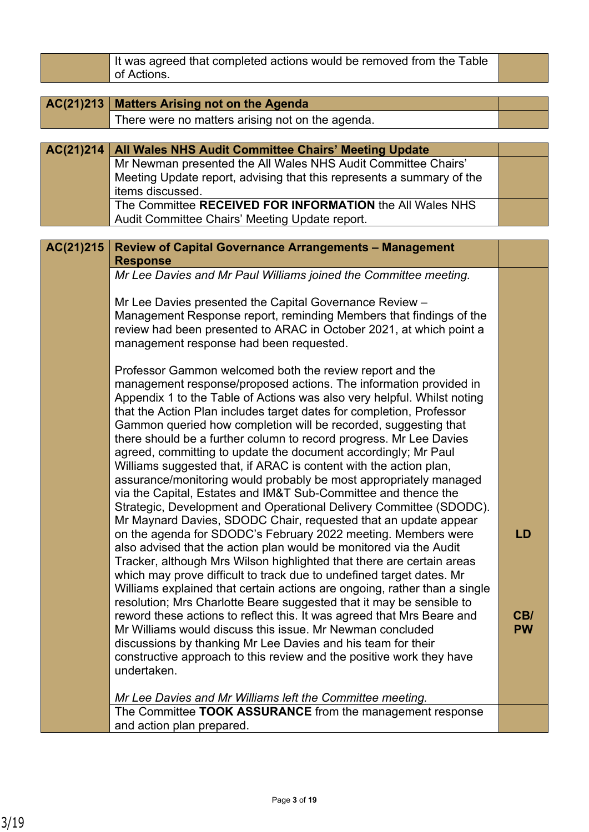|           | It was agreed that completed actions would be removed from the Table<br>of Actions.                                                               |           |
|-----------|---------------------------------------------------------------------------------------------------------------------------------------------------|-----------|
|           |                                                                                                                                                   |           |
| AC(21)213 | <b>Matters Arising not on the Agenda</b>                                                                                                          |           |
|           | There were no matters arising not on the agenda.                                                                                                  |           |
|           |                                                                                                                                                   |           |
| AC(21)214 | All Wales NHS Audit Committee Chairs' Meeting Update                                                                                              |           |
|           | Mr Newman presented the All Wales NHS Audit Committee Chairs'                                                                                     |           |
|           | Meeting Update report, advising that this represents a summary of the<br>items discussed.                                                         |           |
|           | The Committee RECEIVED FOR INFORMATION the All Wales NHS                                                                                          |           |
|           | Audit Committee Chairs' Meeting Update report.                                                                                                    |           |
|           |                                                                                                                                                   |           |
| AC(21)215 | <b>Review of Capital Governance Arrangements - Management</b>                                                                                     |           |
|           | <b>Response</b>                                                                                                                                   |           |
|           | Mr Lee Davies and Mr Paul Williams joined the Committee meeting.                                                                                  |           |
|           |                                                                                                                                                   |           |
|           | Mr Lee Davies presented the Capital Governance Review -                                                                                           |           |
|           | Management Response report, reminding Members that findings of the<br>review had been presented to ARAC in October 2021, at which point a         |           |
|           | management response had been requested.                                                                                                           |           |
|           |                                                                                                                                                   |           |
|           | Professor Gammon welcomed both the review report and the                                                                                          |           |
|           | management response/proposed actions. The information provided in                                                                                 |           |
|           | Appendix 1 to the Table of Actions was also very helpful. Whilst noting                                                                           |           |
|           | that the Action Plan includes target dates for completion, Professor                                                                              |           |
|           | Gammon queried how completion will be recorded, suggesting that                                                                                   |           |
|           | there should be a further column to record progress. Mr Lee Davies                                                                                |           |
|           | agreed, committing to update the document accordingly; Mr Paul<br>Williams suggested that, if ARAC is content with the action plan,               |           |
|           | assurance/monitoring would probably be most appropriately managed                                                                                 |           |
|           | via the Capital, Estates and IM&T Sub-Committee and thence the                                                                                    |           |
|           | Strategic, Development and Operational Delivery Committee (SDODC).                                                                                |           |
|           | Mr Maynard Davies, SDODC Chair, requested that an update appear                                                                                   |           |
|           | on the agenda for SDODC's February 2022 meeting. Members were                                                                                     | <b>LD</b> |
|           | also advised that the action plan would be monitored via the Audit                                                                                |           |
|           | Tracker, although Mrs Wilson highlighted that there are certain areas                                                                             |           |
|           | which may prove difficult to track due to undefined target dates. Mr                                                                              |           |
|           | Williams explained that certain actions are ongoing, rather than a single<br>resolution; Mrs Charlotte Beare suggested that it may be sensible to |           |
|           | reword these actions to reflect this. It was agreed that Mrs Beare and                                                                            | CB/       |
|           | Mr Williams would discuss this issue. Mr Newman concluded                                                                                         | <b>PW</b> |
|           | discussions by thanking Mr Lee Davies and his team for their                                                                                      |           |
|           | constructive approach to this review and the positive work they have                                                                              |           |
|           | undertaken.                                                                                                                                       |           |
|           |                                                                                                                                                   |           |
|           | Mr Lee Davies and Mr Williams left the Committee meeting.                                                                                         |           |
|           | The Committee TOOK ASSURANCE from the management response                                                                                         |           |
|           | and action plan prepared.                                                                                                                         |           |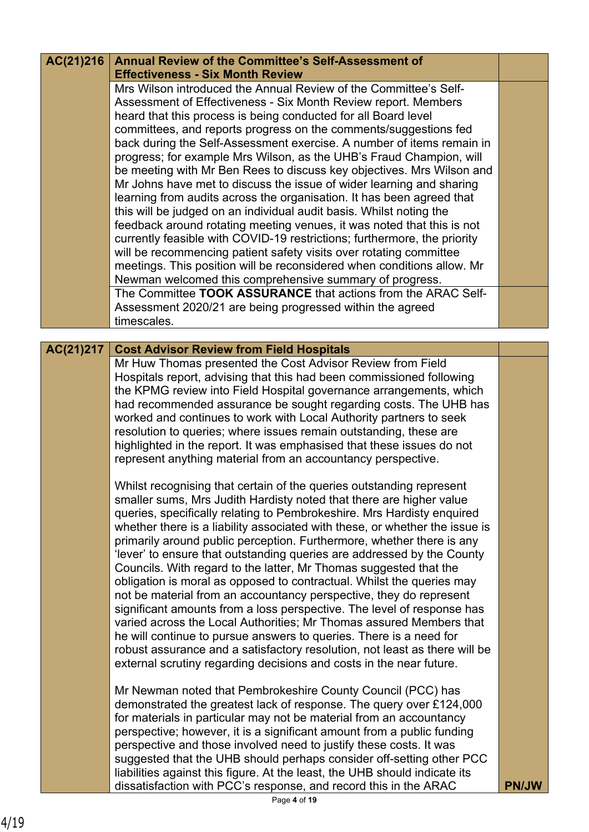| AC(21)216 | Annual Review of the Committee's Self-Assessment of                                                                                                |              |
|-----------|----------------------------------------------------------------------------------------------------------------------------------------------------|--------------|
|           | <b>Effectiveness - Six Month Review</b>                                                                                                            |              |
|           | Mrs Wilson introduced the Annual Review of the Committee's Self-                                                                                   |              |
|           | Assessment of Effectiveness - Six Month Review report. Members                                                                                     |              |
|           | heard that this process is being conducted for all Board level                                                                                     |              |
|           | committees, and reports progress on the comments/suggestions fed                                                                                   |              |
|           | back during the Self-Assessment exercise. A number of items remain in                                                                              |              |
|           | progress; for example Mrs Wilson, as the UHB's Fraud Champion, will                                                                                |              |
|           | be meeting with Mr Ben Rees to discuss key objectives. Mrs Wilson and                                                                              |              |
|           | Mr Johns have met to discuss the issue of wider learning and sharing                                                                               |              |
|           | learning from audits across the organisation. It has been agreed that                                                                              |              |
|           | this will be judged on an individual audit basis. Whilst noting the                                                                                |              |
|           | feedback around rotating meeting venues, it was noted that this is not                                                                             |              |
|           | currently feasible with COVID-19 restrictions; furthermore, the priority                                                                           |              |
|           | will be recommencing patient safety visits over rotating committee                                                                                 |              |
|           | meetings. This position will be reconsidered when conditions allow. Mr                                                                             |              |
|           | Newman welcomed this comprehensive summary of progress.                                                                                            |              |
|           | The Committee TOOK ASSURANCE that actions from the ARAC Self-                                                                                      |              |
|           |                                                                                                                                                    |              |
|           | Assessment 2020/21 are being progressed within the agreed<br>timescales.                                                                           |              |
|           |                                                                                                                                                    |              |
| AC(21)217 | <b>Cost Advisor Review from Field Hospitals</b>                                                                                                    |              |
|           | Mr Huw Thomas presented the Cost Advisor Review from Field                                                                                         |              |
|           | Hospitals report, advising that this had been commissioned following                                                                               |              |
|           | the KPMG review into Field Hospital governance arrangements, which                                                                                 |              |
|           | had recommended assurance be sought regarding costs. The UHB has                                                                                   |              |
|           | worked and continues to work with Local Authority partners to seek                                                                                 |              |
|           | resolution to queries; where issues remain outstanding, these are                                                                                  |              |
|           | highlighted in the report. It was emphasised that these issues do not                                                                              |              |
|           | represent anything material from an accountancy perspective.                                                                                       |              |
|           |                                                                                                                                                    |              |
|           | Whilst recognising that certain of the queries outstanding represent                                                                               |              |
|           | smaller sums, Mrs Judith Hardisty noted that there are higher value                                                                                |              |
|           | queries, specifically relating to Pembrokeshire. Mrs Hardisty enquired                                                                             |              |
|           | whether there is a liability associated with these, or whether the issue is                                                                        |              |
|           | primarily around public perception. Furthermore, whether there is any                                                                              |              |
|           | 'lever' to ensure that outstanding queries are addressed by the County                                                                             |              |
|           | Councils. With regard to the latter, Mr Thomas suggested that the                                                                                  |              |
|           | obligation is moral as opposed to contractual. Whilst the queries may                                                                              |              |
|           | not be material from an accountancy perspective, they do represent                                                                                 |              |
|           | significant amounts from a loss perspective. The level of response has                                                                             |              |
|           | varied across the Local Authorities; Mr Thomas assured Members that                                                                                |              |
|           | he will continue to pursue answers to queries. There is a need for                                                                                 |              |
|           | robust assurance and a satisfactory resolution, not least as there will be                                                                         |              |
|           | external scrutiny regarding decisions and costs in the near future.                                                                                |              |
|           |                                                                                                                                                    |              |
|           | Mr Newman noted that Pembrokeshire County Council (PCC) has                                                                                        |              |
|           | demonstrated the greatest lack of response. The query over £124,000                                                                                |              |
|           | for materials in particular may not be material from an accountancy                                                                                |              |
|           |                                                                                                                                                    |              |
|           | perspective; however, it is a significant amount from a public funding                                                                             |              |
|           | perspective and those involved need to justify these costs. It was                                                                                 |              |
|           | suggested that the UHB should perhaps consider off-setting other PCC<br>liabilities against this figure. At the least, the UHB should indicate its |              |
|           | dissatisfaction with PCC's response, and record this in the ARAC                                                                                   | <b>PN/JW</b> |
|           |                                                                                                                                                    |              |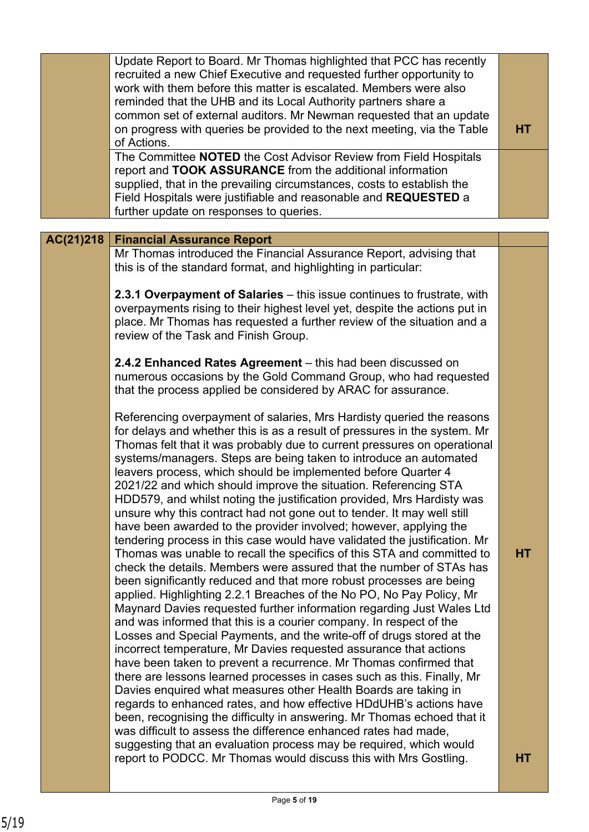|           | Update Report to Board. Mr Thomas highlighted that PCC has recently<br>recruited a new Chief Executive and requested further opportunity to<br>work with them before this matter is escalated. Members were also<br>reminded that the UHB and its Local Authority partners share a<br>common set of external auditors. Mr Newman requested that an update<br>on progress with queries be provided to the next meeting, via the Table<br>of Actions.<br>The Committee NOTED the Cost Advisor Review from Field Hospitals<br>report and TOOK ASSURANCE from the additional information<br>supplied, that in the prevailing circumstances, costs to establish the<br>Field Hospitals were justifiable and reasonable and REQUESTED a<br>further update on responses to queries.                                                                                                                                                                                                                                                                                                                                                                                                                                                                                                                                                                                                                                                                                                                                                                                                                                                                                                                                                                                                                                                                           | <b>HT</b> |
|-----------|--------------------------------------------------------------------------------------------------------------------------------------------------------------------------------------------------------------------------------------------------------------------------------------------------------------------------------------------------------------------------------------------------------------------------------------------------------------------------------------------------------------------------------------------------------------------------------------------------------------------------------------------------------------------------------------------------------------------------------------------------------------------------------------------------------------------------------------------------------------------------------------------------------------------------------------------------------------------------------------------------------------------------------------------------------------------------------------------------------------------------------------------------------------------------------------------------------------------------------------------------------------------------------------------------------------------------------------------------------------------------------------------------------------------------------------------------------------------------------------------------------------------------------------------------------------------------------------------------------------------------------------------------------------------------------------------------------------------------------------------------------------------------------------------------------------------------------------------------------|-----------|
|           |                                                                                                                                                                                                                                                                                                                                                                                                                                                                                                                                                                                                                                                                                                                                                                                                                                                                                                                                                                                                                                                                                                                                                                                                                                                                                                                                                                                                                                                                                                                                                                                                                                                                                                                                                                                                                                                        |           |
| AC(21)218 | <b>Financial Assurance Report</b><br>Mr Thomas introduced the Financial Assurance Report, advising that<br>this is of the standard format, and highlighting in particular:<br>2.3.1 Overpayment of Salaries - this issue continues to frustrate, with<br>overpayments rising to their highest level yet, despite the actions put in<br>place. Mr Thomas has requested a further review of the situation and a<br>review of the Task and Finish Group.                                                                                                                                                                                                                                                                                                                                                                                                                                                                                                                                                                                                                                                                                                                                                                                                                                                                                                                                                                                                                                                                                                                                                                                                                                                                                                                                                                                                  |           |
|           | 2.4.2 Enhanced Rates Agreement – this had been discussed on<br>numerous occasions by the Gold Command Group, who had requested<br>that the process applied be considered by ARAC for assurance.                                                                                                                                                                                                                                                                                                                                                                                                                                                                                                                                                                                                                                                                                                                                                                                                                                                                                                                                                                                                                                                                                                                                                                                                                                                                                                                                                                                                                                                                                                                                                                                                                                                        |           |
|           | Referencing overpayment of salaries, Mrs Hardisty queried the reasons<br>for delays and whether this is as a result of pressures in the system. Mr<br>Thomas felt that it was probably due to current pressures on operational<br>systems/managers. Steps are being taken to introduce an automated<br>leavers process, which should be implemented before Quarter 4<br>2021/22 and which should improve the situation. Referencing STA<br>HDD579, and whilst noting the justification provided, Mrs Hardisty was<br>unsure why this contract had not gone out to tender. It may well still<br>have been awarded to the provider involved; however, applying the<br>tendering process in this case would have validated the justification. Mr<br>Thomas was unable to recall the specifics of this STA and committed to<br>check the details. Members were assured that the number of STAs has<br>been significantly reduced and that more robust processes are being<br>applied. Highlighting 2.2.1 Breaches of the No PO, No Pay Policy, Mr<br>Maynard Davies requested further information regarding Just Wales Ltd<br>and was informed that this is a courier company. In respect of the<br>Losses and Special Payments, and the write-off of drugs stored at the<br>incorrect temperature, Mr Davies requested assurance that actions<br>have been taken to prevent a recurrence. Mr Thomas confirmed that<br>there are lessons learned processes in cases such as this. Finally, Mr<br>Davies enquired what measures other Health Boards are taking in<br>regards to enhanced rates, and how effective HDdUHB's actions have<br>been, recognising the difficulty in answering. Mr Thomas echoed that it<br>was difficult to assess the difference enhanced rates had made,<br>suggesting that an evaluation process may be required, which would | <b>HT</b> |
|           | report to PODCC. Mr Thomas would discuss this with Mrs Gostling.                                                                                                                                                                                                                                                                                                                                                                                                                                                                                                                                                                                                                                                                                                                                                                                                                                                                                                                                                                                                                                                                                                                                                                                                                                                                                                                                                                                                                                                                                                                                                                                                                                                                                                                                                                                       | HТ        |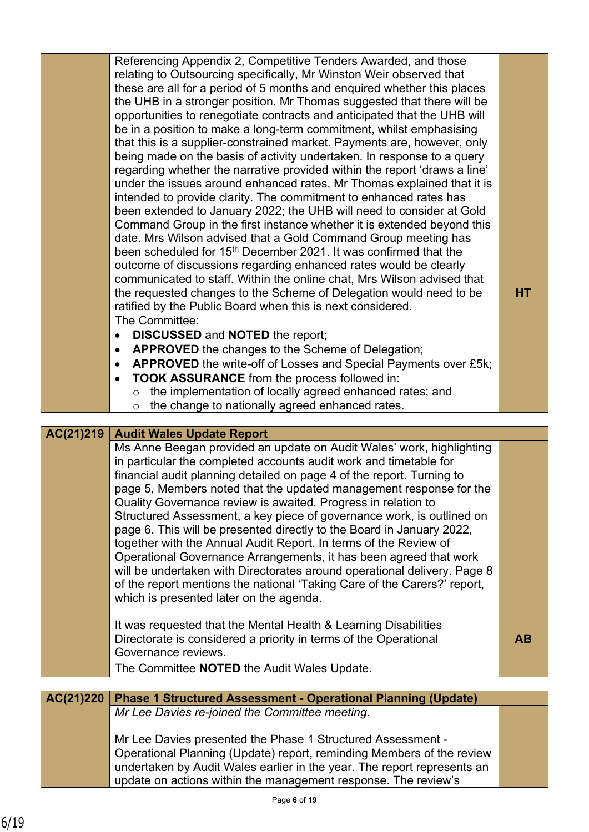|           | Referencing Appendix 2, Competitive Tenders Awarded, and those<br>relating to Outsourcing specifically, Mr Winston Weir observed that<br>these are all for a period of 5 months and enquired whether this places<br>the UHB in a stronger position. Mr Thomas suggested that there will be<br>opportunities to renegotiate contracts and anticipated that the UHB will<br>be in a position to make a long-term commitment, whilst emphasising<br>that this is a supplier-constrained market. Payments are, however, only<br>being made on the basis of activity undertaken. In response to a query<br>regarding whether the narrative provided within the report 'draws a line'<br>under the issues around enhanced rates, Mr Thomas explained that it is<br>intended to provide clarity. The commitment to enhanced rates has<br>been extended to January 2022; the UHB will need to consider at Gold<br>Command Group in the first instance whether it is extended beyond this<br>date. Mrs Wilson advised that a Gold Command Group meeting has<br>been scheduled for 15 <sup>th</sup> December 2021. It was confirmed that the<br>outcome of discussions regarding enhanced rates would be clearly<br>communicated to staff. Within the online chat, Mrs Wilson advised that<br>the requested changes to the Scheme of Delegation would need to be | <b>HT</b> |
|-----------|--------------------------------------------------------------------------------------------------------------------------------------------------------------------------------------------------------------------------------------------------------------------------------------------------------------------------------------------------------------------------------------------------------------------------------------------------------------------------------------------------------------------------------------------------------------------------------------------------------------------------------------------------------------------------------------------------------------------------------------------------------------------------------------------------------------------------------------------------------------------------------------------------------------------------------------------------------------------------------------------------------------------------------------------------------------------------------------------------------------------------------------------------------------------------------------------------------------------------------------------------------------------------------------------------------------------------------------------------------|-----------|
|           | ratified by the Public Board when this is next considered.                                                                                                                                                                                                                                                                                                                                                                                                                                                                                                                                                                                                                                                                                                                                                                                                                                                                                                                                                                                                                                                                                                                                                                                                                                                                                             |           |
|           | The Committee:<br><b>DISCUSSED and NOTED the report;</b>                                                                                                                                                                                                                                                                                                                                                                                                                                                                                                                                                                                                                                                                                                                                                                                                                                                                                                                                                                                                                                                                                                                                                                                                                                                                                               |           |
|           | $\bullet$<br>APPROVED the changes to the Scheme of Delegation;<br>$\bullet$                                                                                                                                                                                                                                                                                                                                                                                                                                                                                                                                                                                                                                                                                                                                                                                                                                                                                                                                                                                                                                                                                                                                                                                                                                                                            |           |
|           | APPROVED the write-off of Losses and Special Payments over £5k;<br>$\bullet$                                                                                                                                                                                                                                                                                                                                                                                                                                                                                                                                                                                                                                                                                                                                                                                                                                                                                                                                                                                                                                                                                                                                                                                                                                                                           |           |
|           | <b>TOOK ASSURANCE</b> from the process followed in:<br>$\bullet$                                                                                                                                                                                                                                                                                                                                                                                                                                                                                                                                                                                                                                                                                                                                                                                                                                                                                                                                                                                                                                                                                                                                                                                                                                                                                       |           |
|           | the implementation of locally agreed enhanced rates; and<br>$\circ$                                                                                                                                                                                                                                                                                                                                                                                                                                                                                                                                                                                                                                                                                                                                                                                                                                                                                                                                                                                                                                                                                                                                                                                                                                                                                    |           |
|           | the change to nationally agreed enhanced rates.<br>$\circ$                                                                                                                                                                                                                                                                                                                                                                                                                                                                                                                                                                                                                                                                                                                                                                                                                                                                                                                                                                                                                                                                                                                                                                                                                                                                                             |           |
|           |                                                                                                                                                                                                                                                                                                                                                                                                                                                                                                                                                                                                                                                                                                                                                                                                                                                                                                                                                                                                                                                                                                                                                                                                                                                                                                                                                        |           |
| AC(21)219 | <b>Audit Wales Update Report</b>                                                                                                                                                                                                                                                                                                                                                                                                                                                                                                                                                                                                                                                                                                                                                                                                                                                                                                                                                                                                                                                                                                                                                                                                                                                                                                                       |           |
|           | Ms Anne Beegan provided an update on Audit Wales' work, highlighting<br>in particular the completed accounts audit work and timetable for                                                                                                                                                                                                                                                                                                                                                                                                                                                                                                                                                                                                                                                                                                                                                                                                                                                                                                                                                                                                                                                                                                                                                                                                              |           |
|           | financial audit planning detailed on page 4 of the report. Turning to                                                                                                                                                                                                                                                                                                                                                                                                                                                                                                                                                                                                                                                                                                                                                                                                                                                                                                                                                                                                                                                                                                                                                                                                                                                                                  |           |
|           |                                                                                                                                                                                                                                                                                                                                                                                                                                                                                                                                                                                                                                                                                                                                                                                                                                                                                                                                                                                                                                                                                                                                                                                                                                                                                                                                                        |           |

page 5, Members noted that the updated management response for the Quality Governance review is awaited. Progress in relation to Structured Assessment, a key piece of governance work, is outlined on page 6. This will be presented directly to the Board in January 2022, together with the Annual Audit Report. In terms of the Review of Operational Governance Arrangements, it has been agreed that work will be undertaken with Directorates around operational delivery. Page 8 of the report mentions the national 'Taking Care of the Carers?' report, which is presented later on the agenda.

It was requested that the Mental Health & Learning Disabilities Directorate is considered a priority in terms of the Operational Governance reviews. **AB**

The Committee **NOTED** the Audit Wales Update.

| AC(21)220 | <b>Phase 1 Structured Assessment - Operational Planning (Update)</b>                                                                                                                                                                                                              |  |
|-----------|-----------------------------------------------------------------------------------------------------------------------------------------------------------------------------------------------------------------------------------------------------------------------------------|--|
|           | Mr Lee Davies re-joined the Committee meeting.                                                                                                                                                                                                                                    |  |
|           | Mr Lee Davies presented the Phase 1 Structured Assessment -<br>Operational Planning (Update) report, reminding Members of the review<br>undertaken by Audit Wales earlier in the year. The report represents an<br>update on actions within the management response. The review's |  |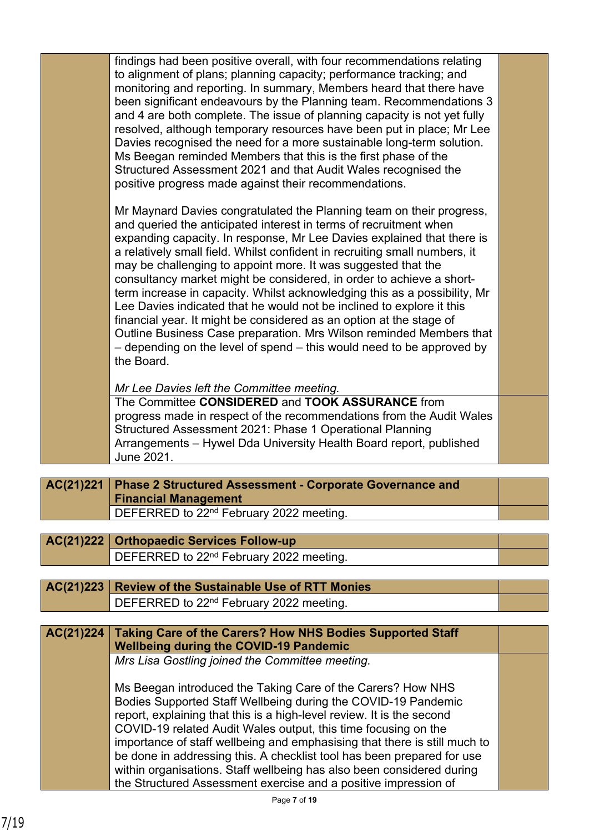| June 2021.<br><b>Phase 2 Structured Assessment - Corporate Governance and</b> |                                                                                                                                                                                                                                                                                                                                                                                                                                                                                                                                                                                                                                                                                                                                                                                                                                                                                                                                                                                                                                                                                                                     |
|-------------------------------------------------------------------------------|---------------------------------------------------------------------------------------------------------------------------------------------------------------------------------------------------------------------------------------------------------------------------------------------------------------------------------------------------------------------------------------------------------------------------------------------------------------------------------------------------------------------------------------------------------------------------------------------------------------------------------------------------------------------------------------------------------------------------------------------------------------------------------------------------------------------------------------------------------------------------------------------------------------------------------------------------------------------------------------------------------------------------------------------------------------------------------------------------------------------|
|                                                                               |                                                                                                                                                                                                                                                                                                                                                                                                                                                                                                                                                                                                                                                                                                                                                                                                                                                                                                                                                                                                                                                                                                                     |
|                                                                               |                                                                                                                                                                                                                                                                                                                                                                                                                                                                                                                                                                                                                                                                                                                                                                                                                                                                                                                                                                                                                                                                                                                     |
| Structured Assessment 2021: Phase 1 Operational Planning                      |                                                                                                                                                                                                                                                                                                                                                                                                                                                                                                                                                                                                                                                                                                                                                                                                                                                                                                                                                                                                                                                                                                                     |
| progress made in respect of the recommendations from the Audit Wales          |                                                                                                                                                                                                                                                                                                                                                                                                                                                                                                                                                                                                                                                                                                                                                                                                                                                                                                                                                                                                                                                                                                                     |
|                                                                               |                                                                                                                                                                                                                                                                                                                                                                                                                                                                                                                                                                                                                                                                                                                                                                                                                                                                                                                                                                                                                                                                                                                     |
|                                                                               |                                                                                                                                                                                                                                                                                                                                                                                                                                                                                                                                                                                                                                                                                                                                                                                                                                                                                                                                                                                                                                                                                                                     |
| the Board.                                                                    |                                                                                                                                                                                                                                                                                                                                                                                                                                                                                                                                                                                                                                                                                                                                                                                                                                                                                                                                                                                                                                                                                                                     |
| Outline Business Case preparation. Mrs Wilson reminded Members that           |                                                                                                                                                                                                                                                                                                                                                                                                                                                                                                                                                                                                                                                                                                                                                                                                                                                                                                                                                                                                                                                                                                                     |
|                                                                               |                                                                                                                                                                                                                                                                                                                                                                                                                                                                                                                                                                                                                                                                                                                                                                                                                                                                                                                                                                                                                                                                                                                     |
| term increase in capacity. Whilst acknowledging this as a possibility, Mr     |                                                                                                                                                                                                                                                                                                                                                                                                                                                                                                                                                                                                                                                                                                                                                                                                                                                                                                                                                                                                                                                                                                                     |
| consultancy market might be considered, in order to achieve a short-          |                                                                                                                                                                                                                                                                                                                                                                                                                                                                                                                                                                                                                                                                                                                                                                                                                                                                                                                                                                                                                                                                                                                     |
|                                                                               |                                                                                                                                                                                                                                                                                                                                                                                                                                                                                                                                                                                                                                                                                                                                                                                                                                                                                                                                                                                                                                                                                                                     |
| expanding capacity. In response, Mr Lee Davies explained that there is        |                                                                                                                                                                                                                                                                                                                                                                                                                                                                                                                                                                                                                                                                                                                                                                                                                                                                                                                                                                                                                                                                                                                     |
|                                                                               |                                                                                                                                                                                                                                                                                                                                                                                                                                                                                                                                                                                                                                                                                                                                                                                                                                                                                                                                                                                                                                                                                                                     |
|                                                                               |                                                                                                                                                                                                                                                                                                                                                                                                                                                                                                                                                                                                                                                                                                                                                                                                                                                                                                                                                                                                                                                                                                                     |
|                                                                               |                                                                                                                                                                                                                                                                                                                                                                                                                                                                                                                                                                                                                                                                                                                                                                                                                                                                                                                                                                                                                                                                                                                     |
| Ms Beegan reminded Members that this is the first phase of the                |                                                                                                                                                                                                                                                                                                                                                                                                                                                                                                                                                                                                                                                                                                                                                                                                                                                                                                                                                                                                                                                                                                                     |
|                                                                               |                                                                                                                                                                                                                                                                                                                                                                                                                                                                                                                                                                                                                                                                                                                                                                                                                                                                                                                                                                                                                                                                                                                     |
| and 4 are both complete. The issue of planning capacity is not yet fully      |                                                                                                                                                                                                                                                                                                                                                                                                                                                                                                                                                                                                                                                                                                                                                                                                                                                                                                                                                                                                                                                                                                                     |
| been significant endeavours by the Planning team. Recommendations 3           |                                                                                                                                                                                                                                                                                                                                                                                                                                                                                                                                                                                                                                                                                                                                                                                                                                                                                                                                                                                                                                                                                                                     |
|                                                                               |                                                                                                                                                                                                                                                                                                                                                                                                                                                                                                                                                                                                                                                                                                                                                                                                                                                                                                                                                                                                                                                                                                                     |
| findings had been positive overall, with four recommendations relating        |                                                                                                                                                                                                                                                                                                                                                                                                                                                                                                                                                                                                                                                                                                                                                                                                                                                                                                                                                                                                                                                                                                                     |
|                                                                               | to alignment of plans; planning capacity; performance tracking; and<br>monitoring and reporting. In summary, Members heard that there have<br>resolved, although temporary resources have been put in place; Mr Lee<br>Davies recognised the need for a more sustainable long-term solution.<br>Structured Assessment 2021 and that Audit Wales recognised the<br>positive progress made against their recommendations.<br>Mr Maynard Davies congratulated the Planning team on their progress,<br>and queried the anticipated interest in terms of recruitment when<br>a relatively small field. Whilst confident in recruiting small numbers, it<br>may be challenging to appoint more. It was suggested that the<br>Lee Davies indicated that he would not be inclined to explore it this<br>financial year. It might be considered as an option at the stage of<br>- depending on the level of spend – this would need to be approved by<br>Mr Lee Davies left the Committee meeting.<br>The Committee CONSIDERED and TOOK ASSURANCE from<br>Arrangements - Hywel Dda University Health Board report, published |

| <b>Financial Management</b>                         |  |
|-----------------------------------------------------|--|
| DEFERRED to 22 <sup>nd</sup> February 2022 meeting. |  |
|                                                     |  |
|                                                     |  |

| AC(21)222   Orthopaedic Services Follow-up          |  |
|-----------------------------------------------------|--|
| DEFERRED to 22 <sup>nd</sup> February 2022 meeting. |  |
|                                                     |  |

**AC(21)223 Review of the Sustainable Use of RTT Monies** DEFERRED to 22nd February 2022 meeting.

## **Taking Care of the Carers? How NHS Bodies Supported Staff Wellbeing during the COVID-19 Pandemic AC(21)224**

*Mrs Lisa Gostling joined the Committee meeting.*

Ms Beegan introduced the Taking Care of the Carers? How NHS Bodies Supported Staff Wellbeing during the COVID-19 Pandemic report, explaining that this is a high-level review. It is the second COVID-19 related Audit Wales output, this time focusing on the importance of staff wellbeing and emphasising that there is still much to be done in addressing this. A checklist tool has been prepared for use within organisations. Staff wellbeing has also been considered during the Structured Assessment exercise and a positive impression of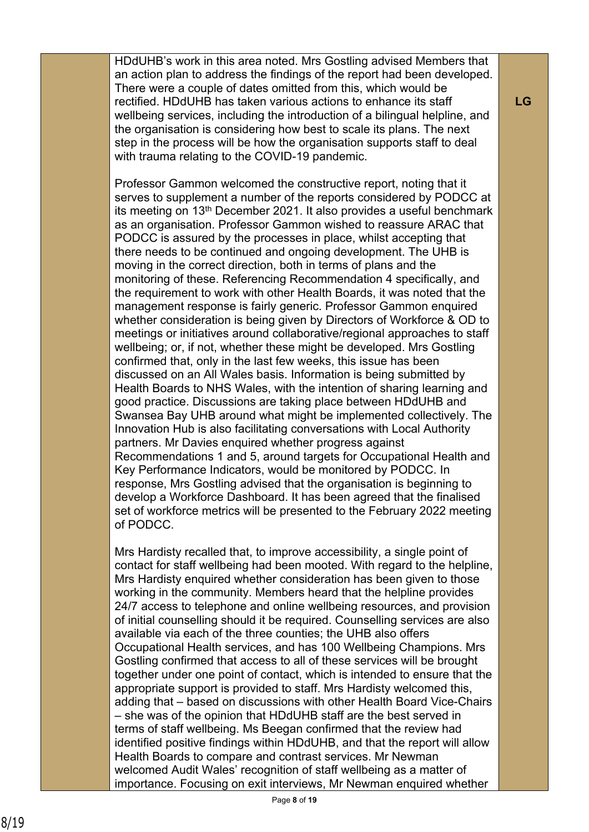HDdUHB's work in this area noted. Mrs Gostling advised Members that an action plan to address the findings of the report had been developed. There were a couple of dates omitted from this, which would be rectified. HDdUHB has taken various actions to enhance its staff wellbeing services, including the introduction of a bilingual helpline, and the organisation is considering how best to scale its plans. The next step in the process will be how the organisation supports staff to deal with trauma relating to the COVID-19 pandemic.

Professor Gammon welcomed the constructive report, noting that it serves to supplement a number of the reports considered by PODCC at its meeting on 13th December 2021. It also provides a useful benchmark as an organisation. Professor Gammon wished to reassure ARAC that PODCC is assured by the processes in place, whilst accepting that there needs to be continued and ongoing development. The UHB is moving in the correct direction, both in terms of plans and the monitoring of these. Referencing Recommendation 4 specifically, and the requirement to work with other Health Boards, it was noted that the management response is fairly generic. Professor Gammon enquired whether consideration is being given by Directors of Workforce & OD to meetings or initiatives around collaborative/regional approaches to staff wellbeing; or, if not, whether these might be developed. Mrs Gostling confirmed that, only in the last few weeks, this issue has been discussed on an All Wales basis. Information is being submitted by Health Boards to NHS Wales, with the intention of sharing learning and good practice. Discussions are taking place between HDdUHB and Swansea Bay UHB around what might be implemented collectively. The Innovation Hub is also facilitating conversations with Local Authority partners. Mr Davies enquired whether progress against Recommendations 1 and 5, around targets for Occupational Health and Key Performance Indicators, would be monitored by PODCC. In response, Mrs Gostling advised that the organisation is beginning to develop a Workforce Dashboard. It has been agreed that the finalised set of workforce metrics will be presented to the February 2022 meeting of PODCC.

Mrs Hardisty recalled that, to improve accessibility, a single point of contact for staff wellbeing had been mooted. With regard to the helpline, Mrs Hardisty enquired whether consideration has been given to those working in the community. Members heard that the helpline provides 24/7 access to telephone and online wellbeing resources, and provision of initial counselling should it be required. Counselling services are also available via each of the three counties; the UHB also offers Occupational Health services, and has 100 Wellbeing Champions. Mrs Gostling confirmed that access to all of these services will be brought together under one point of contact, which is intended to ensure that the appropriate support is provided to staff. Mrs Hardisty welcomed this, adding that – based on discussions with other Health Board Vice-Chairs – she was of the opinion that HDdUHB staff are the best served in terms of staff wellbeing. Ms Beegan confirmed that the review had identified positive findings within HDdUHB, and that the report will allow Health Boards to compare and contrast services. Mr Newman welcomed Audit Wales' recognition of staff wellbeing as a matter of importance. Focusing on exit interviews, Mr Newman enquired whether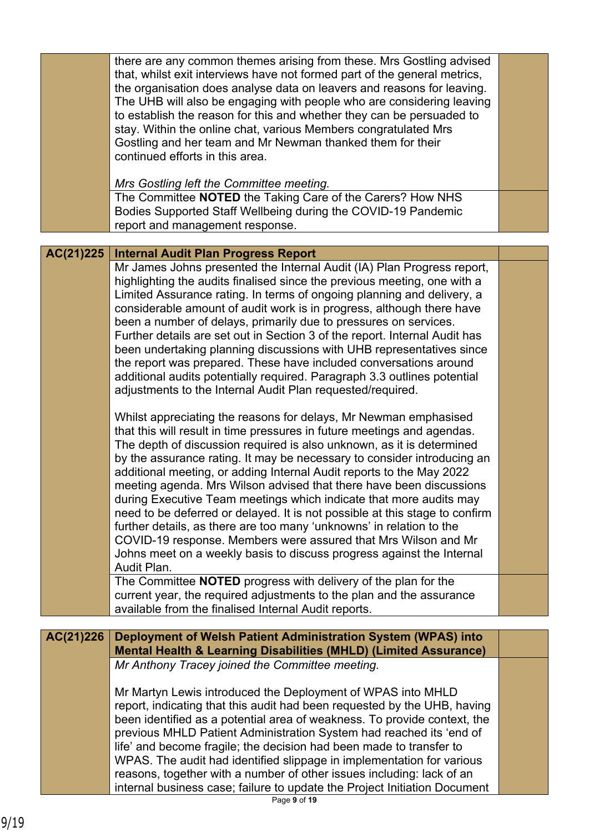|           | there are any common themes arising from these. Mrs Gostling advised<br>that, whilst exit interviews have not formed part of the general metrics,<br>the organisation does analyse data on leavers and reasons for leaving.<br>The UHB will also be engaging with people who are considering leaving<br>to establish the reason for this and whether they can be persuaded to<br>stay. Within the online chat, various Members congratulated Mrs<br>Gostling and her team and Mr Newman thanked them for their<br>continued efforts in this area.<br>Mrs Gostling left the Committee meeting.<br>The Committee NOTED the Taking Care of the Carers? How NHS<br>Bodies Supported Staff Wellbeing during the COVID-19 Pandemic<br>report and management response.                                                                                                                                                                                                                                                                                                                                                                                                                                                                                                                                                                                       |  |
|-----------|-------------------------------------------------------------------------------------------------------------------------------------------------------------------------------------------------------------------------------------------------------------------------------------------------------------------------------------------------------------------------------------------------------------------------------------------------------------------------------------------------------------------------------------------------------------------------------------------------------------------------------------------------------------------------------------------------------------------------------------------------------------------------------------------------------------------------------------------------------------------------------------------------------------------------------------------------------------------------------------------------------------------------------------------------------------------------------------------------------------------------------------------------------------------------------------------------------------------------------------------------------------------------------------------------------------------------------------------------------|--|
|           |                                                                                                                                                                                                                                                                                                                                                                                                                                                                                                                                                                                                                                                                                                                                                                                                                                                                                                                                                                                                                                                                                                                                                                                                                                                                                                                                                       |  |
| AC(21)225 | <b>Internal Audit Plan Progress Report</b>                                                                                                                                                                                                                                                                                                                                                                                                                                                                                                                                                                                                                                                                                                                                                                                                                                                                                                                                                                                                                                                                                                                                                                                                                                                                                                            |  |
|           | Mr James Johns presented the Internal Audit (IA) Plan Progress report,<br>highlighting the audits finalised since the previous meeting, one with a<br>Limited Assurance rating. In terms of ongoing planning and delivery, a<br>considerable amount of audit work is in progress, although there have<br>been a number of delays, primarily due to pressures on services.<br>Further details are set out in Section 3 of the report. Internal Audit has<br>been undertaking planning discussions with UHB representatives since<br>the report was prepared. These have included conversations around<br>additional audits potentially required. Paragraph 3.3 outlines potential<br>adjustments to the Internal Audit Plan requested/required.<br>Whilst appreciating the reasons for delays, Mr Newman emphasised<br>that this will result in time pressures in future meetings and agendas.<br>The depth of discussion required is also unknown, as it is determined<br>by the assurance rating. It may be necessary to consider introducing an<br>additional meeting, or adding Internal Audit reports to the May 2022<br>meeting agenda. Mrs Wilson advised that there have been discussions<br>during Executive Team meetings which indicate that more audits may<br>need to be deferred or delayed. It is not possible at this stage to confirm |  |
|           | further details, as there are too many 'unknowns' in relation to the<br>COVID-19 response. Members were assured that Mrs Wilson and Mr<br>Johns meet on a weekly basis to discuss progress against the Internal<br>Audit Plan.<br>The Committee NOTED progress with delivery of the plan for the                                                                                                                                                                                                                                                                                                                                                                                                                                                                                                                                                                                                                                                                                                                                                                                                                                                                                                                                                                                                                                                      |  |
|           | current year, the required adjustments to the plan and the assurance                                                                                                                                                                                                                                                                                                                                                                                                                                                                                                                                                                                                                                                                                                                                                                                                                                                                                                                                                                                                                                                                                                                                                                                                                                                                                  |  |
|           | available from the finalised Internal Audit reports.                                                                                                                                                                                                                                                                                                                                                                                                                                                                                                                                                                                                                                                                                                                                                                                                                                                                                                                                                                                                                                                                                                                                                                                                                                                                                                  |  |
|           |                                                                                                                                                                                                                                                                                                                                                                                                                                                                                                                                                                                                                                                                                                                                                                                                                                                                                                                                                                                                                                                                                                                                                                                                                                                                                                                                                       |  |
| AC(21)226 | Deployment of Welsh Patient Administration System (WPAS) into<br><b>Mental Health &amp; Learning Disabilities (MHLD) (Limited Assurance)</b>                                                                                                                                                                                                                                                                                                                                                                                                                                                                                                                                                                                                                                                                                                                                                                                                                                                                                                                                                                                                                                                                                                                                                                                                          |  |
|           | Mr Anthony Tracey joined the Committee meeting.<br>Mr Martyn Lewis introduced the Deployment of WPAS into MHLD<br>report, indicating that this audit had been requested by the UHB, having<br>been identified as a potential area of weakness. To provide context, the<br>previous MHLD Patient Administration System had reached its 'end of<br>life' and become fragile; the decision had been made to transfer to<br>WPAS. The audit had identified slippage in implementation for various<br>reasons, together with a number of other issues including: lack of an<br>internal business case; failure to update the Project Initiation Document                                                                                                                                                                                                                                                                                                                                                                                                                                                                                                                                                                                                                                                                                                   |  |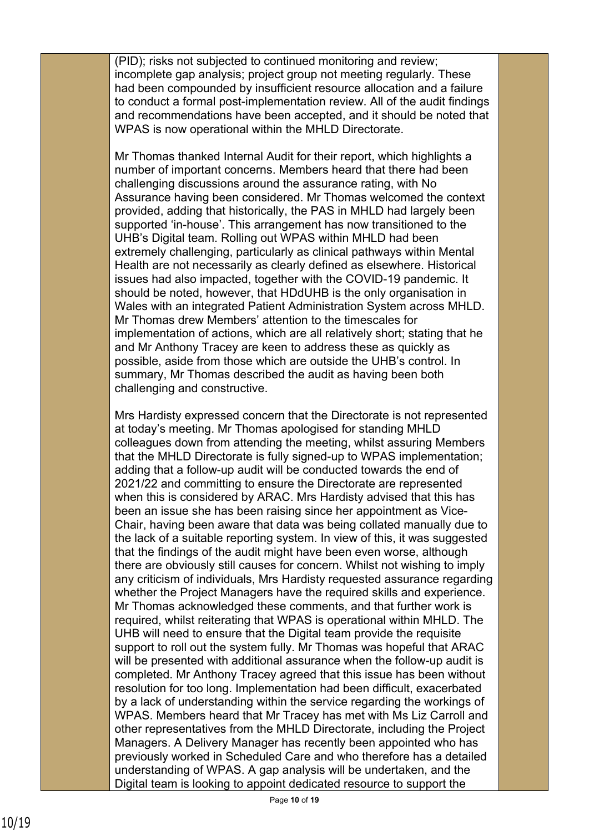(PID); risks not subjected to continued monitoring and review; incomplete gap analysis; project group not meeting regularly. These had been compounded by insufficient resource allocation and a failure to conduct a formal post-implementation review. All of the audit findings and recommendations have been accepted, and it should be noted that WPAS is now operational within the MHLD Directorate.

Mr Thomas thanked Internal Audit for their report, which highlights a number of important concerns. Members heard that there had been challenging discussions around the assurance rating, with No Assurance having been considered. Mr Thomas welcomed the context provided, adding that historically, the PAS in MHLD had largely been supported 'in-house'. This arrangement has now transitioned to the UHB's Digital team. Rolling out WPAS within MHLD had been extremely challenging, particularly as clinical pathways within Mental Health are not necessarily as clearly defined as elsewhere. Historical issues had also impacted, together with the COVID-19 pandemic. It should be noted, however, that HDdUHB is the only organisation in Wales with an integrated Patient Administration System across MHLD. Mr Thomas drew Members' attention to the timescales for implementation of actions, which are all relatively short; stating that he and Mr Anthony Tracey are keen to address these as quickly as possible, aside from those which are outside the UHB's control. In summary, Mr Thomas described the audit as having been both challenging and constructive.

Mrs Hardisty expressed concern that the Directorate is not represented at today's meeting. Mr Thomas apologised for standing MHLD colleagues down from attending the meeting, whilst assuring Members that the MHLD Directorate is fully signed-up to WPAS implementation; adding that a follow-up audit will be conducted towards the end of 2021/22 and committing to ensure the Directorate are represented when this is considered by ARAC. Mrs Hardisty advised that this has been an issue she has been raising since her appointment as Vice-Chair, having been aware that data was being collated manually due to the lack of a suitable reporting system. In view of this, it was suggested that the findings of the audit might have been even worse, although there are obviously still causes for concern. Whilst not wishing to imply any criticism of individuals, Mrs Hardisty requested assurance regarding whether the Project Managers have the required skills and experience. Mr Thomas acknowledged these comments, and that further work is required, whilst reiterating that WPAS is operational within MHLD. The UHB will need to ensure that the Digital team provide the requisite support to roll out the system fully. Mr Thomas was hopeful that ARAC will be presented with additional assurance when the follow-up audit is completed. Mr Anthony Tracey agreed that this issue has been without resolution for too long. Implementation had been difficult, exacerbated by a lack of understanding within the service regarding the workings of WPAS. Members heard that Mr Tracey has met with Ms Liz Carroll and other representatives from the MHLD Directorate, including the Project Managers. A Delivery Manager has recently been appointed who has previously worked in Scheduled Care and who therefore has a detailed understanding of WPAS. A gap analysis will be undertaken, and the Digital team is looking to appoint dedicated resource to support the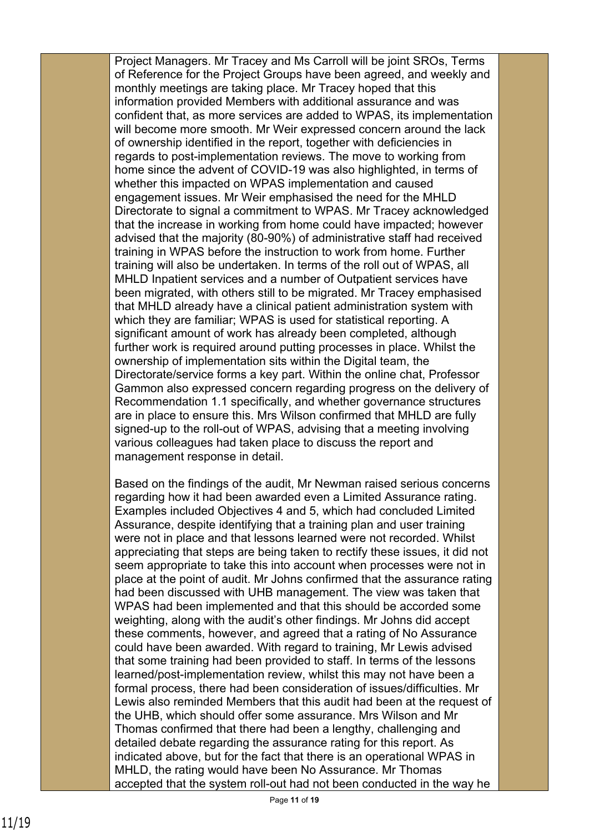Project Managers. Mr Tracey and Ms Carroll will be joint SROs, Terms of Reference for the Project Groups have been agreed, and weekly and monthly meetings are taking place. Mr Tracey hoped that this information provided Members with additional assurance and was confident that, as more services are added to WPAS, its implementation will become more smooth. Mr Weir expressed concern around the lack of ownership identified in the report, together with deficiencies in regards to post-implementation reviews. The move to working from home since the advent of COVID-19 was also highlighted, in terms of whether this impacted on WPAS implementation and caused engagement issues. Mr Weir emphasised the need for the MHLD Directorate to signal a commitment to WPAS. Mr Tracey acknowledged that the increase in working from home could have impacted; however advised that the majority (80-90%) of administrative staff had received training in WPAS before the instruction to work from home. Further training will also be undertaken. In terms of the roll out of WPAS, all MHLD Inpatient services and a number of Outpatient services have been migrated, with others still to be migrated. Mr Tracey emphasised that MHLD already have a clinical patient administration system with which they are familiar; WPAS is used for statistical reporting. A significant amount of work has already been completed, although further work is required around putting processes in place. Whilst the ownership of implementation sits within the Digital team, the Directorate/service forms a key part. Within the online chat, Professor Gammon also expressed concern regarding progress on the delivery of Recommendation 1.1 specifically, and whether governance structures are in place to ensure this. Mrs Wilson confirmed that MHLD are fully signed-up to the roll-out of WPAS, advising that a meeting involving various colleagues had taken place to discuss the report and management response in detail.

Based on the findings of the audit, Mr Newman raised serious concerns regarding how it had been awarded even a Limited Assurance rating. Examples included Objectives 4 and 5, which had concluded Limited Assurance, despite identifying that a training plan and user training were not in place and that lessons learned were not recorded. Whilst appreciating that steps are being taken to rectify these issues, it did not seem appropriate to take this into account when processes were not in place at the point of audit. Mr Johns confirmed that the assurance rating had been discussed with UHB management. The view was taken that WPAS had been implemented and that this should be accorded some weighting, along with the audit's other findings. Mr Johns did accept these comments, however, and agreed that a rating of No Assurance could have been awarded. With regard to training, Mr Lewis advised that some training had been provided to staff. In terms of the lessons learned/post-implementation review, whilst this may not have been a formal process, there had been consideration of issues/difficulties. Mr Lewis also reminded Members that this audit had been at the request of the UHB, which should offer some assurance. Mrs Wilson and Mr Thomas confirmed that there had been a lengthy, challenging and detailed debate regarding the assurance rating for this report. As indicated above, but for the fact that there is an operational WPAS in MHLD, the rating would have been No Assurance. Mr Thomas accepted that the system roll-out had not been conducted in the way he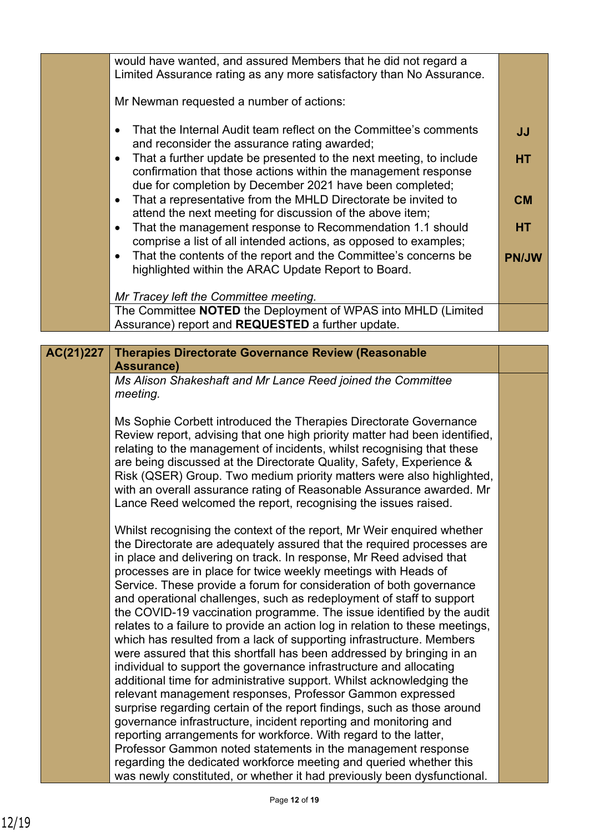| Limited Assurance rating as any more satisfactory than No Assurance.                                                                                                                                                                                                                                                                                                                                                                                                                                                                                                                                                                                                                                                                                                                                                                                                                                                                                                                                                                                                                                                                                                                                                                             |                                                                                                                                                                                                                                                                                                                                                                                                                                                                                                                                                                                                                         |
|--------------------------------------------------------------------------------------------------------------------------------------------------------------------------------------------------------------------------------------------------------------------------------------------------------------------------------------------------------------------------------------------------------------------------------------------------------------------------------------------------------------------------------------------------------------------------------------------------------------------------------------------------------------------------------------------------------------------------------------------------------------------------------------------------------------------------------------------------------------------------------------------------------------------------------------------------------------------------------------------------------------------------------------------------------------------------------------------------------------------------------------------------------------------------------------------------------------------------------------------------|-------------------------------------------------------------------------------------------------------------------------------------------------------------------------------------------------------------------------------------------------------------------------------------------------------------------------------------------------------------------------------------------------------------------------------------------------------------------------------------------------------------------------------------------------------------------------------------------------------------------------|
|                                                                                                                                                                                                                                                                                                                                                                                                                                                                                                                                                                                                                                                                                                                                                                                                                                                                                                                                                                                                                                                                                                                                                                                                                                                  |                                                                                                                                                                                                                                                                                                                                                                                                                                                                                                                                                                                                                         |
|                                                                                                                                                                                                                                                                                                                                                                                                                                                                                                                                                                                                                                                                                                                                                                                                                                                                                                                                                                                                                                                                                                                                                                                                                                                  |                                                                                                                                                                                                                                                                                                                                                                                                                                                                                                                                                                                                                         |
| That the Internal Audit team reflect on the Committee's comments<br>$\bullet$                                                                                                                                                                                                                                                                                                                                                                                                                                                                                                                                                                                                                                                                                                                                                                                                                                                                                                                                                                                                                                                                                                                                                                    | <b>JJ</b>                                                                                                                                                                                                                                                                                                                                                                                                                                                                                                                                                                                                               |
| That a further update be presented to the next meeting, to include<br>$\bullet$                                                                                                                                                                                                                                                                                                                                                                                                                                                                                                                                                                                                                                                                                                                                                                                                                                                                                                                                                                                                                                                                                                                                                                  | <b>HT</b>                                                                                                                                                                                                                                                                                                                                                                                                                                                                                                                                                                                                               |
|                                                                                                                                                                                                                                                                                                                                                                                                                                                                                                                                                                                                                                                                                                                                                                                                                                                                                                                                                                                                                                                                                                                                                                                                                                                  |                                                                                                                                                                                                                                                                                                                                                                                                                                                                                                                                                                                                                         |
|                                                                                                                                                                                                                                                                                                                                                                                                                                                                                                                                                                                                                                                                                                                                                                                                                                                                                                                                                                                                                                                                                                                                                                                                                                                  | <b>CM</b>                                                                                                                                                                                                                                                                                                                                                                                                                                                                                                                                                                                                               |
|                                                                                                                                                                                                                                                                                                                                                                                                                                                                                                                                                                                                                                                                                                                                                                                                                                                                                                                                                                                                                                                                                                                                                                                                                                                  |                                                                                                                                                                                                                                                                                                                                                                                                                                                                                                                                                                                                                         |
| That the management response to Recommendation 1.1 should<br>$\bullet$                                                                                                                                                                                                                                                                                                                                                                                                                                                                                                                                                                                                                                                                                                                                                                                                                                                                                                                                                                                                                                                                                                                                                                           | <b>HT</b>                                                                                                                                                                                                                                                                                                                                                                                                                                                                                                                                                                                                               |
| comprise a list of all intended actions, as opposed to examples;                                                                                                                                                                                                                                                                                                                                                                                                                                                                                                                                                                                                                                                                                                                                                                                                                                                                                                                                                                                                                                                                                                                                                                                 |                                                                                                                                                                                                                                                                                                                                                                                                                                                                                                                                                                                                                         |
| That the contents of the report and the Committee's concerns be<br>$\bullet$                                                                                                                                                                                                                                                                                                                                                                                                                                                                                                                                                                                                                                                                                                                                                                                                                                                                                                                                                                                                                                                                                                                                                                     | <b>PN/JW</b>                                                                                                                                                                                                                                                                                                                                                                                                                                                                                                                                                                                                            |
|                                                                                                                                                                                                                                                                                                                                                                                                                                                                                                                                                                                                                                                                                                                                                                                                                                                                                                                                                                                                                                                                                                                                                                                                                                                  |                                                                                                                                                                                                                                                                                                                                                                                                                                                                                                                                                                                                                         |
|                                                                                                                                                                                                                                                                                                                                                                                                                                                                                                                                                                                                                                                                                                                                                                                                                                                                                                                                                                                                                                                                                                                                                                                                                                                  |                                                                                                                                                                                                                                                                                                                                                                                                                                                                                                                                                                                                                         |
| The Committee NOTED the Deployment of WPAS into MHLD (Limited                                                                                                                                                                                                                                                                                                                                                                                                                                                                                                                                                                                                                                                                                                                                                                                                                                                                                                                                                                                                                                                                                                                                                                                    |                                                                                                                                                                                                                                                                                                                                                                                                                                                                                                                                                                                                                         |
| Assurance) report and REQUESTED a further update.                                                                                                                                                                                                                                                                                                                                                                                                                                                                                                                                                                                                                                                                                                                                                                                                                                                                                                                                                                                                                                                                                                                                                                                                |                                                                                                                                                                                                                                                                                                                                                                                                                                                                                                                                                                                                                         |
|                                                                                                                                                                                                                                                                                                                                                                                                                                                                                                                                                                                                                                                                                                                                                                                                                                                                                                                                                                                                                                                                                                                                                                                                                                                  |                                                                                                                                                                                                                                                                                                                                                                                                                                                                                                                                                                                                                         |
|                                                                                                                                                                                                                                                                                                                                                                                                                                                                                                                                                                                                                                                                                                                                                                                                                                                                                                                                                                                                                                                                                                                                                                                                                                                  |                                                                                                                                                                                                                                                                                                                                                                                                                                                                                                                                                                                                                         |
| Ms Alison Shakeshaft and Mr Lance Reed joined the Committee                                                                                                                                                                                                                                                                                                                                                                                                                                                                                                                                                                                                                                                                                                                                                                                                                                                                                                                                                                                                                                                                                                                                                                                      |                                                                                                                                                                                                                                                                                                                                                                                                                                                                                                                                                                                                                         |
| meeting.                                                                                                                                                                                                                                                                                                                                                                                                                                                                                                                                                                                                                                                                                                                                                                                                                                                                                                                                                                                                                                                                                                                                                                                                                                         |                                                                                                                                                                                                                                                                                                                                                                                                                                                                                                                                                                                                                         |
| Ms Sophie Corbett introduced the Therapies Directorate Governance<br>Review report, advising that one high priority matter had been identified,<br>relating to the management of incidents, whilst recognising that these<br>are being discussed at the Directorate Quality, Safety, Experience &<br>Risk (QSER) Group. Two medium priority matters were also highlighted,<br>with an overall assurance rating of Reasonable Assurance awarded. Mr<br>Lance Reed welcomed the report, recognising the issues raised.                                                                                                                                                                                                                                                                                                                                                                                                                                                                                                                                                                                                                                                                                                                             |                                                                                                                                                                                                                                                                                                                                                                                                                                                                                                                                                                                                                         |
| Whilst recognising the context of the report, Mr Weir enquired whether<br>the Directorate are adequately assured that the required processes are<br>in place and delivering on track. In response, Mr Reed advised that<br>processes are in place for twice weekly meetings with Heads of<br>Service. These provide a forum for consideration of both governance<br>and operational challenges, such as redeployment of staff to support<br>the COVID-19 vaccination programme. The issue identified by the audit<br>relates to a failure to provide an action log in relation to these meetings,<br>which has resulted from a lack of supporting infrastructure. Members<br>were assured that this shortfall has been addressed by bringing in an<br>individual to support the governance infrastructure and allocating<br>additional time for administrative support. Whilst acknowledging the<br>relevant management responses, Professor Gammon expressed<br>surprise regarding certain of the report findings, such as those around<br>governance infrastructure, incident reporting and monitoring and<br>reporting arrangements for workforce. With regard to the latter,<br>Professor Gammon noted statements in the management response |                                                                                                                                                                                                                                                                                                                                                                                                                                                                                                                                                                                                                         |
|                                                                                                                                                                                                                                                                                                                                                                                                                                                                                                                                                                                                                                                                                                                                                                                                                                                                                                                                                                                                                                                                                                                                                                                                                                                  | would have wanted, and assured Members that he did not regard a<br>Mr Newman requested a number of actions:<br>and reconsider the assurance rating awarded;<br>confirmation that those actions within the management response<br>due for completion by December 2021 have been completed;<br>That a representative from the MHLD Directorate be invited to<br>$\bullet$<br>attend the next meeting for discussion of the above item;<br>highlighted within the ARAC Update Report to Board.<br>Mr Tracey left the Committee meeting.<br><b>Therapies Directorate Governance Review (Reasonable</b><br><b>Assurance)</b> |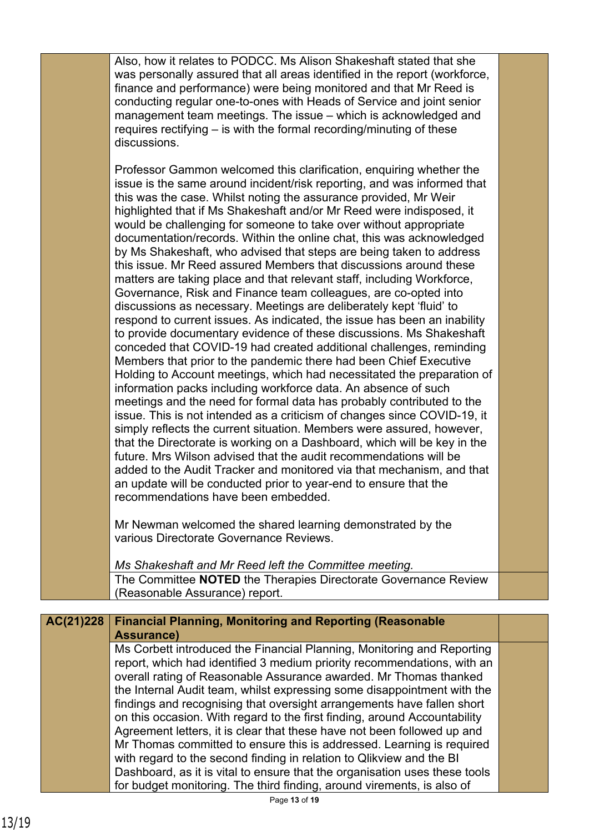Also, how it relates to PODCC. Ms Alison Shakeshaft stated that she was personally assured that all areas identified in the report (workforce, finance and performance) were being monitored and that Mr Reed is conducting regular one-to-ones with Heads of Service and joint senior management team meetings. The issue – which is acknowledged and requires rectifying – is with the formal recording/minuting of these discussions.

Professor Gammon welcomed this clarification, enquiring whether the issue is the same around incident/risk reporting, and was informed that this was the case. Whilst noting the assurance provided, Mr Weir highlighted that if Ms Shakeshaft and/or Mr Reed were indisposed, it would be challenging for someone to take over without appropriate documentation/records. Within the online chat, this was acknowledged by Ms Shakeshaft, who advised that steps are being taken to address this issue. Mr Reed assured Members that discussions around these matters are taking place and that relevant staff, including Workforce, Governance, Risk and Finance team colleagues, are co-opted into discussions as necessary. Meetings are deliberately kept 'fluid' to respond to current issues. As indicated, the issue has been an inability to provide documentary evidence of these discussions. Ms Shakeshaft conceded that COVID-19 had created additional challenges, reminding Members that prior to the pandemic there had been Chief Executive Holding to Account meetings, which had necessitated the preparation of information packs including workforce data. An absence of such meetings and the need for formal data has probably contributed to the issue. This is not intended as a criticism of changes since COVID-19, it simply reflects the current situation. Members were assured, however, that the Directorate is working on a Dashboard, which will be key in the future. Mrs Wilson advised that the audit recommendations will be added to the Audit Tracker and monitored via that mechanism, and that an update will be conducted prior to year-end to ensure that the recommendations have been embedded.

Mr Newman welcomed the shared learning demonstrated by the various Directorate Governance Reviews.

*Ms Shakeshaft and Mr Reed left the Committee meeting.* The Committee **NOTED** the Therapies Directorate Governance Review (Reasonable Assurance) report.

## **Financial Planning, Monitoring and Reporting (Reasonable Assurance) AC(21)228** Ms Corbett introduced the Financial Planning, Monitoring and Reporting report, which had identified 3 medium priority recommendations, with an overall rating of Reasonable Assurance awarded. Mr Thomas thanked the Internal Audit team, whilst expressing some disappointment with the findings and recognising that oversight arrangements have fallen short on this occasion. With regard to the first finding, around Accountability

Agreement letters, it is clear that these have not been followed up and Mr Thomas committed to ensure this is addressed. Learning is required with regard to the second finding in relation to Qlikview and the BI Dashboard, as it is vital to ensure that the organisation uses these tools for budget monitoring. The third finding, around virements, is also of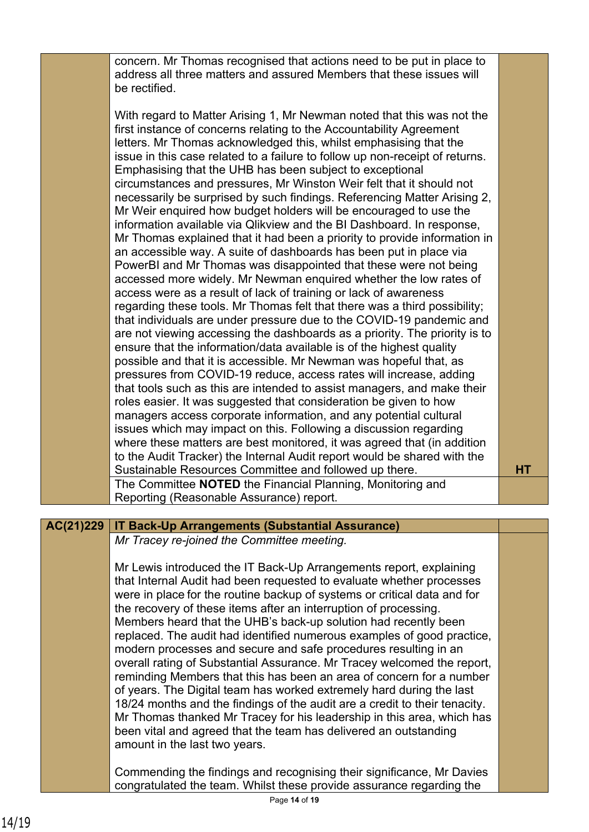concern. Mr Thomas recognised that actions need to be put in place to address all three matters and assured Members that these issues will be rectified.

With regard to Matter Arising 1, Mr Newman noted that this was not the first instance of concerns relating to the Accountability Agreement letters. Mr Thomas acknowledged this, whilst emphasising that the issue in this case related to a failure to follow up non-receipt of returns. Emphasising that the UHB has been subject to exceptional circumstances and pressures, Mr Winston Weir felt that it should not necessarily be surprised by such findings. Referencing Matter Arising 2, Mr Weir enquired how budget holders will be encouraged to use the information available via Qlikview and the BI Dashboard. In response, Mr Thomas explained that it had been a priority to provide information in an accessible way. A suite of dashboards has been put in place via PowerBI and Mr Thomas was disappointed that these were not being accessed more widely. Mr Newman enquired whether the low rates of access were as a result of lack of training or lack of awareness regarding these tools. Mr Thomas felt that there was a third possibility; that individuals are under pressure due to the COVID-19 pandemic and are not viewing accessing the dashboards as a priority. The priority is to ensure that the information/data available is of the highest quality possible and that it is accessible. Mr Newman was hopeful that, as pressures from COVID-19 reduce, access rates will increase, adding that tools such as this are intended to assist managers, and make their roles easier. It was suggested that consideration be given to how managers access corporate information, and any potential cultural issues which may impact on this. Following a discussion regarding where these matters are best monitored, it was agreed that (in addition to the Audit Tracker) the Internal Audit report would be shared with the Sustainable Resources Committee and followed up there. **HT** The Committee **NOTED** the Financial Planning, Monitoring and Reporting (Reasonable Assurance) report.

## **AC(21)229 IT Back-Up Arrangements (Substantial Assurance)**

*Mr Tracey re-joined the Committee meeting.*

Mr Lewis introduced the IT Back-Up Arrangements report, explaining that Internal Audit had been requested to evaluate whether processes were in place for the routine backup of systems or critical data and for the recovery of these items after an interruption of processing. Members heard that the UHB's back-up solution had recently been replaced. The audit had identified numerous examples of good practice, modern processes and secure and safe procedures resulting in an overall rating of Substantial Assurance. Mr Tracey welcomed the report, reminding Members that this has been an area of concern for a number of years. The Digital team has worked extremely hard during the last 18/24 months and the findings of the audit are a credit to their tenacity. Mr Thomas thanked Mr Tracey for his leadership in this area, which has been vital and agreed that the team has delivered an outstanding amount in the last two years.

Commending the findings and recognising their significance, Mr Davies congratulated the team. Whilst these provide assurance regarding the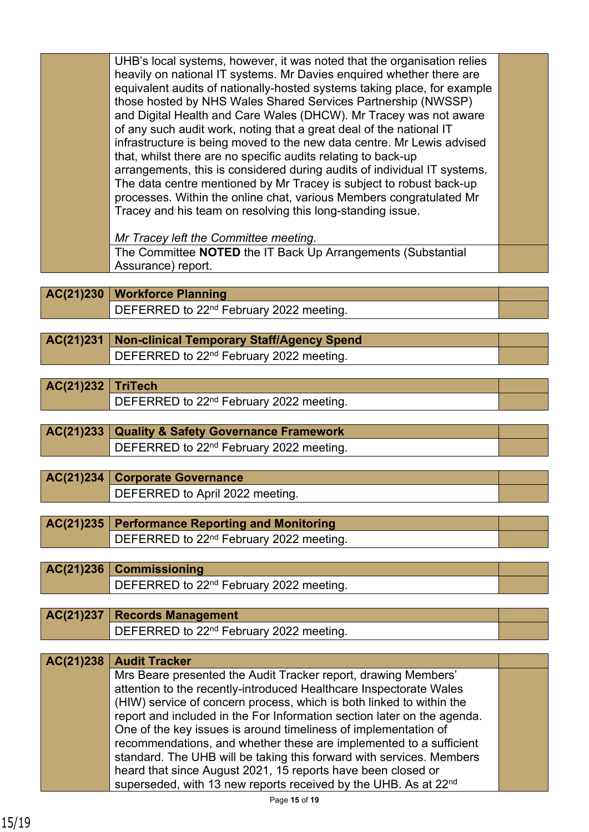|           | UHB's local systems, however, it was noted that the organisation relies  |  |
|-----------|--------------------------------------------------------------------------|--|
|           | heavily on national IT systems. Mr Davies enquired whether there are     |  |
|           | equivalent audits of nationally-hosted systems taking place, for example |  |
|           | those hosted by NHS Wales Shared Services Partnership (NWSSP)            |  |
|           | and Digital Health and Care Wales (DHCW). Mr Tracey was not aware        |  |
|           | of any such audit work, noting that a great deal of the national IT      |  |
|           | infrastructure is being moved to the new data centre. Mr Lewis advised   |  |
|           | that, whilst there are no specific audits relating to back-up            |  |
|           | arrangements, this is considered during audits of individual IT systems. |  |
|           | The data centre mentioned by Mr Tracey is subject to robust back-up      |  |
|           | processes. Within the online chat, various Members congratulated Mr      |  |
|           | Tracey and his team on resolving this long-standing issue.               |  |
|           |                                                                          |  |
|           | Mr Tracey left the Committee meeting.                                    |  |
|           | The Committee NOTED the IT Back Up Arrangements (Substantial             |  |
|           | Assurance) report.                                                       |  |
|           |                                                                          |  |
| AC(21)230 | <b>Workforce Planning</b>                                                |  |
|           | DEFERRED to 22 <sup>nd</sup> February 2022 meeting.                      |  |
|           |                                                                          |  |
| AC(21)231 | <b>Non-clinical Temporary Staff/Agency Spend</b>                         |  |
|           | DEFERRED to 22 <sup>nd</sup> February 2022 meeting.                      |  |
|           |                                                                          |  |
| AC(21)232 | <b>TriTech</b>                                                           |  |
|           | DEFERRED to 22 <sup>nd</sup> February 2022 meeting.                      |  |
|           |                                                                          |  |
| AC(21)233 | <b>Quality &amp; Safety Governance Framework</b>                         |  |
|           | DEFERRED to 22 <sup>nd</sup> February 2022 meeting.                      |  |
|           |                                                                          |  |
| AC(21)234 | <b>Corporate Governance</b>                                              |  |
|           | DEFERRED to April 2022 meeting.                                          |  |
|           |                                                                          |  |
| AC(21)235 | <b>Performance Reporting and Monitoring</b>                              |  |
|           |                                                                          |  |
|           | DEFERRED to 22 <sup>nd</sup> February 2022 meeting.                      |  |

**AC(21)236 Commissioning** DEFERRED to 22<sup>nd</sup> February 2022 meeting.

| $AC(21)237$ Records Management            |  |
|-------------------------------------------|--|
| DEFERRED to $22nd$ February 2022 meeting. |  |
|                                           |  |

| AC(21)238   Audit Tracker                                                   |  |
|-----------------------------------------------------------------------------|--|
| Mrs Beare presented the Audit Tracker report, drawing Members'              |  |
| attention to the recently-introduced Healthcare Inspectorate Wales          |  |
| (HIW) service of concern process, which is both linked to within the        |  |
| report and included in the For Information section later on the agenda.     |  |
| One of the key issues is around timeliness of implementation of             |  |
| recommendations, and whether these are implemented to a sufficient          |  |
| standard. The UHB will be taking this forward with services. Members        |  |
| heard that since August 2021, 15 reports have been closed or                |  |
| superseded, with 13 new reports received by the UHB. As at 22 <sup>nd</sup> |  |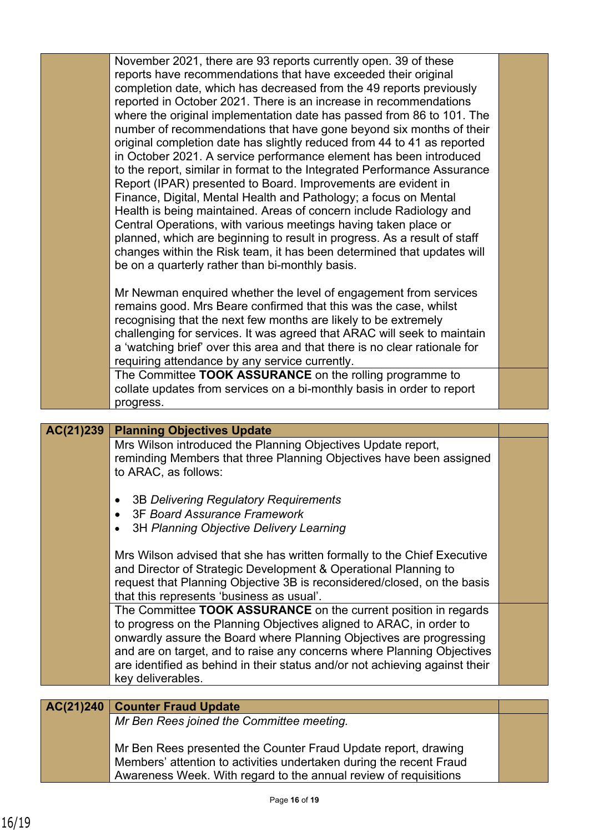|           | November 2021, there are 93 reports currently open. 39 of these                                                                     |  |
|-----------|-------------------------------------------------------------------------------------------------------------------------------------|--|
|           | reports have recommendations that have exceeded their original                                                                      |  |
|           | completion date, which has decreased from the 49 reports previously                                                                 |  |
|           | reported in October 2021. There is an increase in recommendations                                                                   |  |
|           | where the original implementation date has passed from 86 to 101. The                                                               |  |
|           | number of recommendations that have gone beyond six months of their                                                                 |  |
|           | original completion date has slightly reduced from 44 to 41 as reported                                                             |  |
|           | in October 2021. A service performance element has been introduced                                                                  |  |
|           | to the report, similar in format to the Integrated Performance Assurance                                                            |  |
|           | Report (IPAR) presented to Board. Improvements are evident in                                                                       |  |
|           | Finance, Digital, Mental Health and Pathology; a focus on Mental                                                                    |  |
|           | Health is being maintained. Areas of concern include Radiology and                                                                  |  |
|           | Central Operations, with various meetings having taken place or                                                                     |  |
|           | planned, which are beginning to result in progress. As a result of staff                                                            |  |
|           |                                                                                                                                     |  |
|           | changes within the Risk team, it has been determined that updates will                                                              |  |
|           | be on a quarterly rather than bi-monthly basis.                                                                                     |  |
|           |                                                                                                                                     |  |
|           | Mr Newman enquired whether the level of engagement from services                                                                    |  |
|           | remains good. Mrs Beare confirmed that this was the case, whilst<br>recognising that the next few months are likely to be extremely |  |
|           |                                                                                                                                     |  |
|           | challenging for services. It was agreed that ARAC will seek to maintain                                                             |  |
|           | a 'watching brief' over this area and that there is no clear rationale for                                                          |  |
|           | requiring attendance by any service currently.                                                                                      |  |
|           | The Committee TOOK ASSURANCE on the rolling programme to                                                                            |  |
|           | collate updates from services on a bi-monthly basis in order to report                                                              |  |
|           | progress.                                                                                                                           |  |
|           |                                                                                                                                     |  |
|           |                                                                                                                                     |  |
| AC(21)239 | <b>Planning Objectives Update</b>                                                                                                   |  |
|           | Mrs Wilson introduced the Planning Objectives Update report,                                                                        |  |
|           | reminding Members that three Planning Objectives have been assigned                                                                 |  |
|           | to ARAC, as follows:                                                                                                                |  |
|           |                                                                                                                                     |  |
|           | 3B Delivering Regulatory Requirements                                                                                               |  |
|           | <b>3F Board Assurance Framework</b>                                                                                                 |  |
|           | 3H Planning Objective Delivery Learning                                                                                             |  |
|           |                                                                                                                                     |  |
|           | Mrs Wilson advised that she has written formally to the Chief Executive                                                             |  |
|           | and Director of Strategic Development & Operational Planning to                                                                     |  |
|           | request that Planning Objective 3B is reconsidered/closed, on the basis                                                             |  |
|           | that this represents 'business as usual'.                                                                                           |  |
|           | The Committee TOOK ASSURANCE on the current position in regards                                                                     |  |
|           | to progress on the Planning Objectives aligned to ARAC, in order to                                                                 |  |
|           | onwardly assure the Board where Planning Objectives are progressing                                                                 |  |
|           | and are on target, and to raise any concerns where Planning Objectives                                                              |  |
|           | are identified as behind in their status and/or not achieving against their                                                         |  |
|           | key deliverables.                                                                                                                   |  |
| AC(21)240 | <b>Counter Fraud Update</b>                                                                                                         |  |
|           | Mr Ben Rees joined the Committee meeting.                                                                                           |  |
|           |                                                                                                                                     |  |
|           | Mr Ben Rees presented the Counter Fraud Update report, drawing                                                                      |  |
|           | Members' attention to activities undertaken during the recent Fraud                                                                 |  |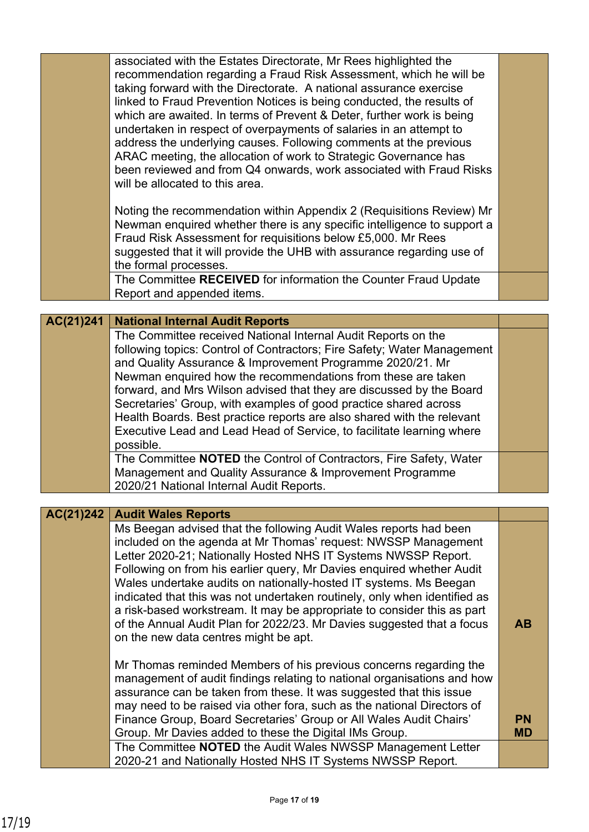|           | associated with the Estates Directorate, Mr Rees highlighted the<br>recommendation regarding a Fraud Risk Assessment, which he will be<br>taking forward with the Directorate. A national assurance exercise<br>linked to Fraud Prevention Notices is being conducted, the results of<br>which are awaited. In terms of Prevent & Deter, further work is being<br>undertaken in respect of overpayments of salaries in an attempt to<br>address the underlying causes. Following comments at the previous<br>ARAC meeting, the allocation of work to Strategic Governance has<br>been reviewed and from Q4 onwards, work associated with Fraud Risks<br>will be allocated to this area.<br>Noting the recommendation within Appendix 2 (Requisitions Review) Mr |           |
|-----------|-----------------------------------------------------------------------------------------------------------------------------------------------------------------------------------------------------------------------------------------------------------------------------------------------------------------------------------------------------------------------------------------------------------------------------------------------------------------------------------------------------------------------------------------------------------------------------------------------------------------------------------------------------------------------------------------------------------------------------------------------------------------|-----------|
|           | Newman enquired whether there is any specific intelligence to support a<br>Fraud Risk Assessment for requisitions below £5,000. Mr Rees<br>suggested that it will provide the UHB with assurance regarding use of<br>the formal processes.                                                                                                                                                                                                                                                                                                                                                                                                                                                                                                                      |           |
|           | The Committee RECEIVED for information the Counter Fraud Update<br>Report and appended items.                                                                                                                                                                                                                                                                                                                                                                                                                                                                                                                                                                                                                                                                   |           |
|           |                                                                                                                                                                                                                                                                                                                                                                                                                                                                                                                                                                                                                                                                                                                                                                 |           |
| AC(21)241 | <b>National Internal Audit Reports</b><br>The Committee received National Internal Audit Reports on the<br>following topics: Control of Contractors; Fire Safety; Water Management<br>and Quality Assurance & Improvement Programme 2020/21. Mr                                                                                                                                                                                                                                                                                                                                                                                                                                                                                                                 |           |
|           | Newman enquired how the recommendations from these are taken<br>forward, and Mrs Wilson advised that they are discussed by the Board                                                                                                                                                                                                                                                                                                                                                                                                                                                                                                                                                                                                                            |           |
|           | Secretaries' Group, with examples of good practice shared across<br>Health Boards. Best practice reports are also shared with the relevant<br>Executive Lead and Lead Head of Service, to facilitate learning where<br>possible.                                                                                                                                                                                                                                                                                                                                                                                                                                                                                                                                |           |
|           | The Committee NOTED the Control of Contractors, Fire Safety, Water<br>Management and Quality Assurance & Improvement Programme<br>2020/21 National Internal Audit Reports.                                                                                                                                                                                                                                                                                                                                                                                                                                                                                                                                                                                      |           |
|           |                                                                                                                                                                                                                                                                                                                                                                                                                                                                                                                                                                                                                                                                                                                                                                 |           |
| AC(21)242 | <b>Audit Wales Reports</b>                                                                                                                                                                                                                                                                                                                                                                                                                                                                                                                                                                                                                                                                                                                                      |           |
|           | Ms Beegan advised that the following Audit Wales reports had been<br>included on the agenda at Mr Thomas' request: NWSSP Management<br>Letter 2020-21; Nationally Hosted NHS IT Systems NWSSP Report.<br>Following on from his earlier query, Mr Davies enquired whether Audit<br>Wales undertake audits on nationally-hosted IT systems. Ms Beegan<br>indicated that this was not undertaken routinely, only when identified as<br>a risk-based workstream. It may be appropriate to consider this as part<br>of the Annual Audit Plan for 2022/23. Mr Davies suggested that a focus<br>on the new data centres might be apt.                                                                                                                                  | <b>AB</b> |
|           | Mr Thomas reminded Members of his previous concerns regarding the<br>management of audit findings relating to national organisations and how<br>assurance can be taken from these. It was suggested that this issue<br>may need to be raised via other fora, such as the national Directors of                                                                                                                                                                                                                                                                                                                                                                                                                                                                  |           |
|           | Finance Group, Board Secretaries' Group or All Wales Audit Chairs'                                                                                                                                                                                                                                                                                                                                                                                                                                                                                                                                                                                                                                                                                              | <b>PN</b> |
|           | Group. Mr Davies added to these the Digital IMs Group.                                                                                                                                                                                                                                                                                                                                                                                                                                                                                                                                                                                                                                                                                                          | <b>MD</b> |
|           | The Committee NOTED the Audit Wales NWSSP Management Letter<br>2020-21 and Nationally Hosted NHS IT Systems NWSSP Report.                                                                                                                                                                                                                                                                                                                                                                                                                                                                                                                                                                                                                                       |           |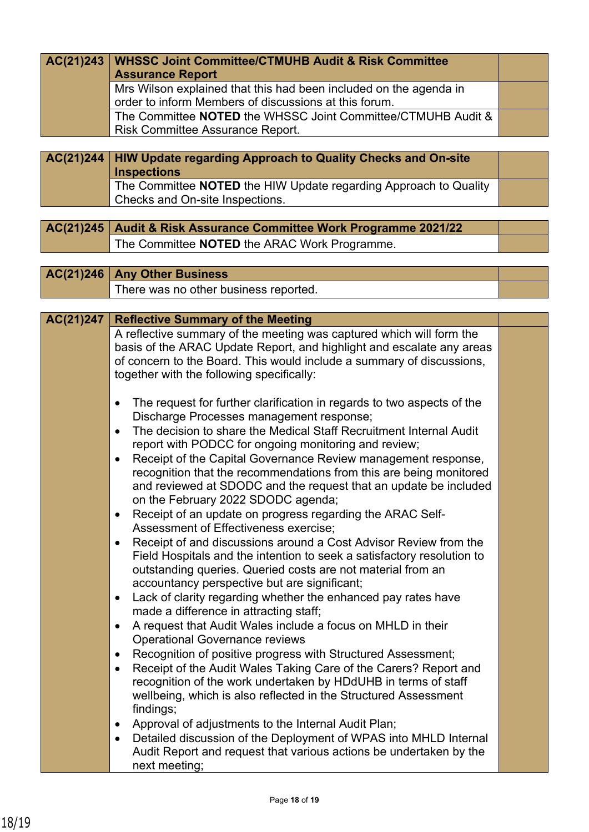| AC(21)243   WHSSC Joint Committee/CTMUHB Audit & Risk Committee<br><b>Assurance Report</b>                                 |  |
|----------------------------------------------------------------------------------------------------------------------------|--|
| Mrs Wilson explained that this had been included on the agenda in<br>order to inform Members of discussions at this forum. |  |
| The Committee <b>NOTED</b> the WHSSC Joint Committee/CTMUHB Audit &<br><b>Risk Committee Assurance Report.</b>             |  |
|                                                                                                                            |  |

**HIW Update regarding Approach to Quality Checks and On-site Inspections AC(21)244** The Committee **NOTED** the HIW Update regarding Approach to Quality Checks and On-site Inspections.

**AC(21)245 Audit & Risk Assurance Committee Work Programme 2021/22** The Committee **NOTED** the ARAC Work Programme.

**AC(21)246 Any Other Business** There was no other business reported.

| AC(21)247 | <b>Reflective Summary of the Meeting</b>                                                                                                                                                                                                                                                                                                                                                                                                                                                                                                                                                                                                                                                                                                                                                                                                                                                                                                                                                                                                                                                                                                                                                                                                                                                                                                                                                                                                            |  |
|-----------|-----------------------------------------------------------------------------------------------------------------------------------------------------------------------------------------------------------------------------------------------------------------------------------------------------------------------------------------------------------------------------------------------------------------------------------------------------------------------------------------------------------------------------------------------------------------------------------------------------------------------------------------------------------------------------------------------------------------------------------------------------------------------------------------------------------------------------------------------------------------------------------------------------------------------------------------------------------------------------------------------------------------------------------------------------------------------------------------------------------------------------------------------------------------------------------------------------------------------------------------------------------------------------------------------------------------------------------------------------------------------------------------------------------------------------------------------------|--|
|           | A reflective summary of the meeting was captured which will form the<br>basis of the ARAC Update Report, and highlight and escalate any areas<br>of concern to the Board. This would include a summary of discussions,<br>together with the following specifically:                                                                                                                                                                                                                                                                                                                                                                                                                                                                                                                                                                                                                                                                                                                                                                                                                                                                                                                                                                                                                                                                                                                                                                                 |  |
|           | The request for further clarification in regards to two aspects of the<br>$\bullet$<br>Discharge Processes management response;<br>The decision to share the Medical Staff Recruitment Internal Audit<br>$\bullet$<br>report with PODCC for ongoing monitoring and review;<br>Receipt of the Capital Governance Review management response,<br>٠<br>recognition that the recommendations from this are being monitored<br>and reviewed at SDODC and the request that an update be included<br>on the February 2022 SDODC agenda;<br>Receipt of an update on progress regarding the ARAC Self-<br>$\bullet$<br>Assessment of Effectiveness exercise;<br>Receipt of and discussions around a Cost Advisor Review from the<br>$\bullet$<br>Field Hospitals and the intention to seek a satisfactory resolution to<br>outstanding queries. Queried costs are not material from an<br>accountancy perspective but are significant;<br>Lack of clarity regarding whether the enhanced pay rates have<br>$\bullet$<br>made a difference in attracting staff;<br>A request that Audit Wales include a focus on MHLD in their<br>$\bullet$<br><b>Operational Governance reviews</b><br>Recognition of positive progress with Structured Assessment;<br>Receipt of the Audit Wales Taking Care of the Carers? Report and<br>recognition of the work undertaken by HDdUHB in terms of staff<br>wellbeing, which is also reflected in the Structured Assessment |  |
|           | findings;<br>Approval of adjustments to the Internal Audit Plan;<br>$\bullet$<br>Detailed discussion of the Deployment of WPAS into MHLD Internal<br>$\bullet$<br>Audit Report and request that various actions be undertaken by the<br>next meeting;                                                                                                                                                                                                                                                                                                                                                                                                                                                                                                                                                                                                                                                                                                                                                                                                                                                                                                                                                                                                                                                                                                                                                                                               |  |